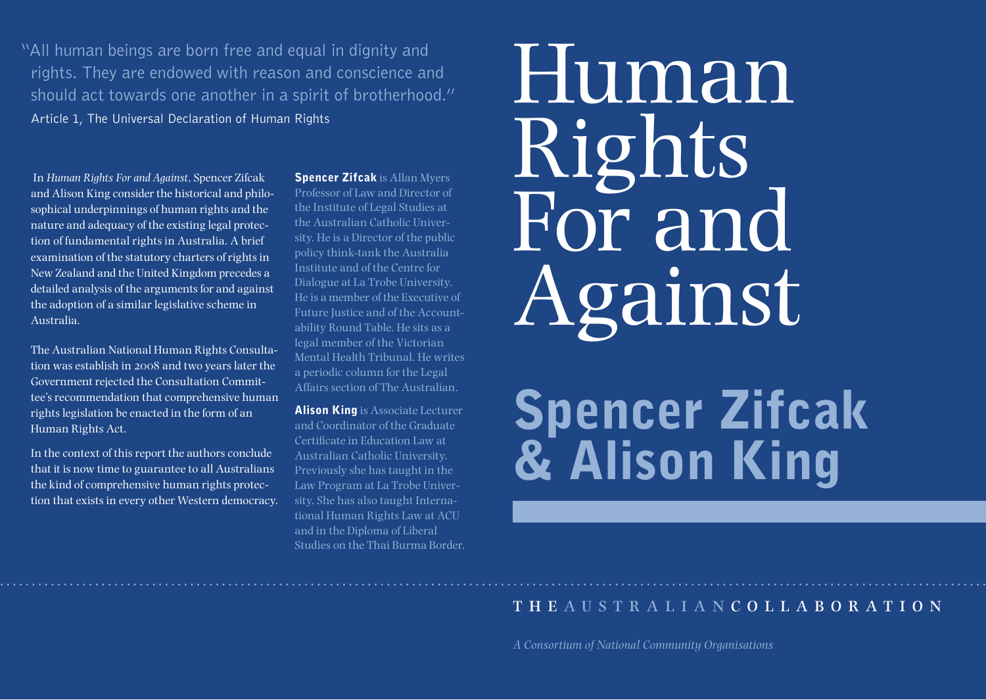"All human beings are born free and equal in dignity and rights. They are endowed with reason and conscience and should act towards one another in a spirit of brotherhood." Article 1, The Universal Declaration of Human Rights

 In *Human Rights For and Against*, Spencer Zifcak and Alison King consider the historical and philosophical underpinnings of human rights and the nature and adequacy of the existing legal protection of fundamental rights in Australia. A brief examination of the statutory charters of rights in New Zealand and the United Kingdom precedes a detailed analysis of the arguments for and against the adoption of a similar legislative scheme in Australia.

The Australian National Human Rights Consultation was establish in 2008 and two years later the Government rejected the Consultation Committee's recommendation that comprehensive human rights legislation be enacted in the form of an Human Rights Act.

In the context of this report the authors conclude that it is now time to guarantee to all Australians the kind of comprehensive human rights protection that exists in every other Western democracy.

**Spencer Zifcak** is Allan Myers Professor of Law and Director of the Institute of Legal Studies at the Australian Catholic University. He is a Director of the public policy think-tank the Australia Institute and of the Centre for Dialogue at La Trobe University. He is a member of the Executive of Future Justice and of the Accountability Round Table. He sits as a legal member of the Victorian Mental Health Tribunal. He writes a periodic column for the Legal Affairs section of The Australian.

**Alison King** is Associate Lecturer and Coordinator of the Graduate Certificate in Education Law at Australian Catholic University. Previously she has taught in the Law Program at La Trobe University. She has also taught International Human Rights Law at ACU and in the Diploma of Liberal Studies on the Thai Burma Border.

# Human Rights For and Against

# Spencer Zifcak & Alison King

# the australian c o l l a b o r a t i o n

*A Consortium of National Community Organisations*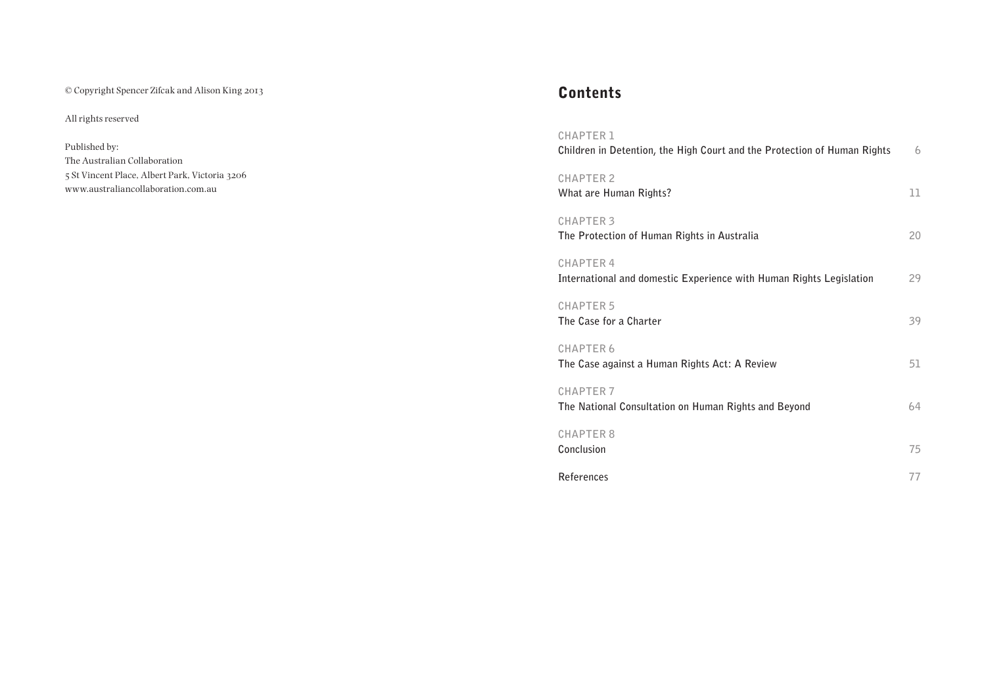© Copyright Spencer Zifcak and Alison King 2013

All rights reserved

Published by: The Australian Collaboration 5 St Vincent Place, Albert Park, Victoria 3206 [www.australiancollaboration.com.au](www.australiancollaboration.com.au )

# Contents

| <b>CHAPTER 1</b><br>Children in Detention, the High Court and the Protection of Human Rights | 6  |
|----------------------------------------------------------------------------------------------|----|
| <b>CHAPTER 2</b><br>What are Human Rights?                                                   | 11 |
| <b>CHAPTER 3</b><br>The Protection of Human Rights in Australia                              | 20 |
| <b>CHAPTER 4</b><br>International and domestic Experience with Human Rights Legislation      | 29 |
| <b>CHAPTER 5</b><br>The Case for a Charter                                                   | 39 |
| <b>CHAPTER 6</b><br>The Case against a Human Rights Act: A Review                            | 51 |
| <b>CHAPTER 7</b><br>The National Consultation on Human Rights and Beyond                     | 64 |
| <b>CHAPTER 8</b><br>Conclusion                                                               | 75 |
| References                                                                                   | 77 |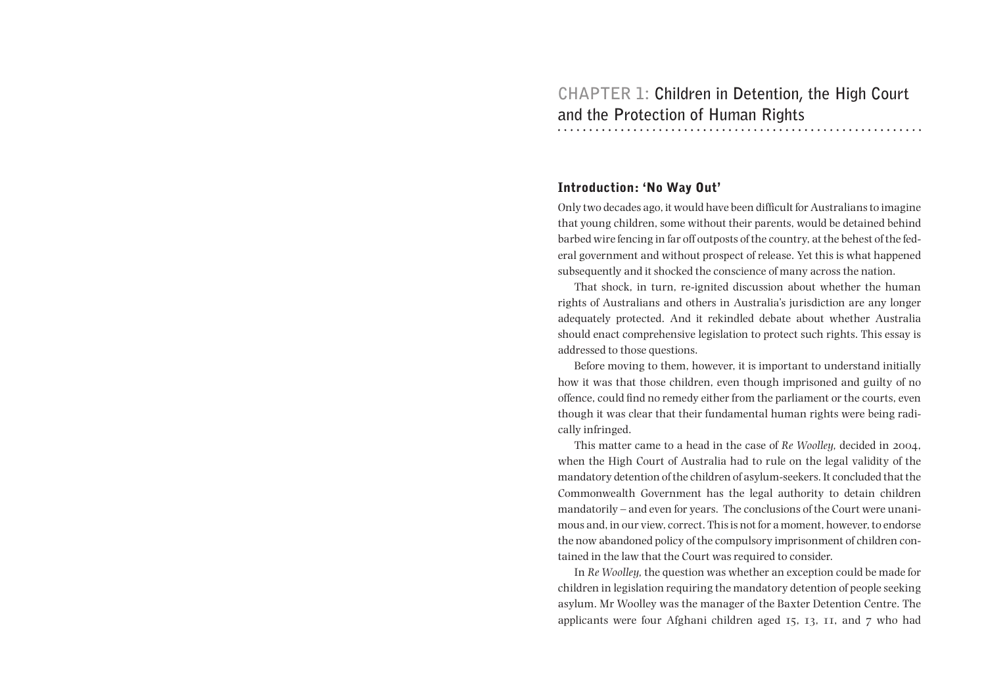### Introduction: 'No Way Out'

Only two decades ago, it would have been difficult for Australians to imagine that young children, some without their parents, would be detained behind barbed wire fencing in far off outposts of the country, at the behest of the federal government and without prospect of release. Yet this is what happened subsequently and it shocked the conscience of many across the nation.

That shock, in turn, re-ignited discussion about whether the human rights of Australians and others in Australia's jurisdiction are any longer adequately protected. And it rekindled debate about whether Australia should enact comprehensive legislation to protect such rights. This essay is addressed to those questions.

Before moving to them, however, it is important to understand initially how it was that those children, even though imprisoned and guilty of no offence, could find no remedy either from the parliament or the courts, even though it was clear that their fundamental human rights were being radically infringed.

This matter came to a head in the case of *Re Woolley,* decided in 2004, when the High Court of Australia had to rule on the legal validity of the mandatory detention of the children of asylum-seekers. It concluded that the Commonwealth Government has the legal authority to detain children mandatorily – and even for years. The conclusions of the Court were unanimous and, in our view, correct. This is not for a moment, however, to endorse the now abandoned policy of the compulsory imprisonment of children contained in the law that the Court was required to consider.

In *Re Woolley,* the question was whether an exception could be made for children in legislation requiring the mandatory detention of people seeking asylum. Mr Woolley was the manager of the Baxter Detention Centre. The applicants were four Afghani children aged 15, 13, 11, and 7 who had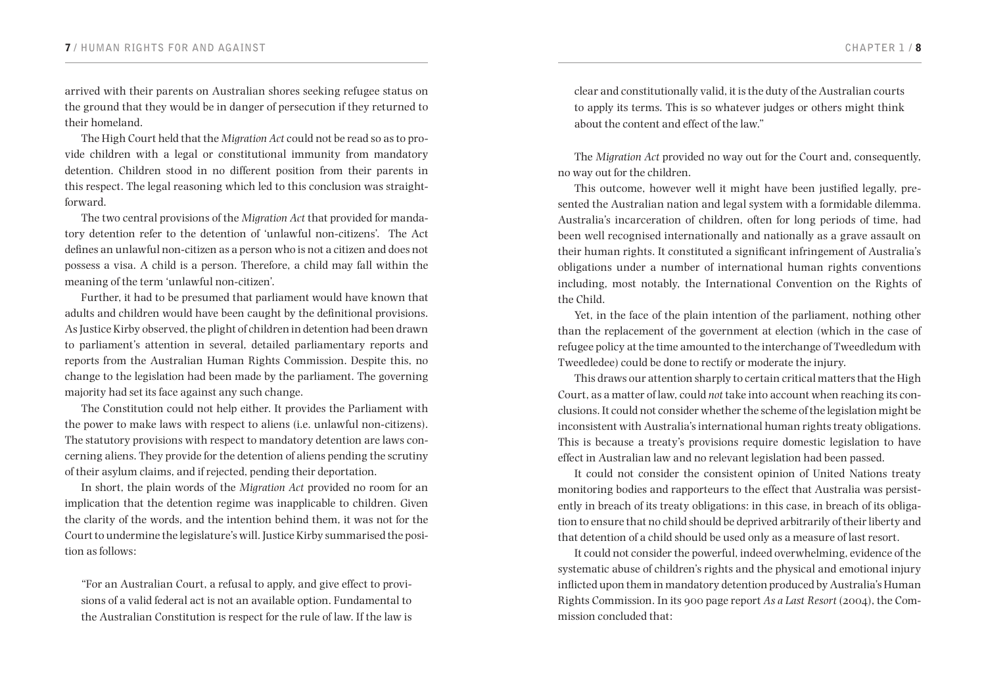arrived with their parents on Australian shores seeking refugee status on the ground that they would be in danger of persecution if they returned to their homeland.

The High Court held that the *Migration Act* could not be read so as to provide children with a legal or constitutional immunity from mandatory detention. Children stood in no different position from their parents in this respect. The legal reasoning which led to this conclusion was straightforward.

The two central provisions of the *Migration Act* that provided for mandatory detention refer to the detention of 'unlawful non-citizens'. The Act defines an unlawful non-citizen as a person who is not a citizen and does not possess a visa. A child is a person. Therefore, a child may fall within the meaning of the term 'unlawful non-citizen'.

Further, it had to be presumed that parliament would have known that adults and children would have been caught by the definitional provisions. As Justice Kirby observed, the plight of children in detention had been drawn to parliament's attention in several, detailed parliamentary reports and reports from the Australian Human Rights Commission. Despite this, no change to the legislation had been made by the parliament. The governing majority had set its face against any such change.

The Constitution could not help either. It provides the Parliament with the power to make laws with respect to aliens (i.e. unlawful non-citizens). The statutory provisions with respect to mandatory detention are laws concerning aliens. They provide for the detention of aliens pending the scrutiny of their asylum claims, and if rejected, pending their deportation.

In short, the plain words of the *Migration Act* provided no room for an implication that the detention regime was inapplicable to children. Given the clarity of the words, and the intention behind them, it was not for the Court to undermine the legislature's will. Justice Kirby summarised the position as follows:

"For an Australian Court, a refusal to apply, and give effect to provisions of a valid federal act is not an available option. Fundamental to the Australian Constitution is respect for the rule of law. If the law is

clear and constitutionally valid, it is the duty of the Australian courts to apply its terms. This is so whatever judges or others might think about the content and effect of the law."

The *Migration Act* provided no way out for the Court and, consequently, no way out for the children.

This outcome, however well it might have been justified legally, presented the Australian nation and legal system with a formidable dilemma. Australia's incarceration of children, often for long periods of time, had been well recognised internationally and nationally as a grave assault on their human rights. It constituted a significant infringement of Australia's obligations under a number of international human rights conventions including, most notably, the International Convention on the Rights of the Child.

Yet, in the face of the plain intention of the parliament, nothing other than the replacement of the government at election (which in the case of refugee policy at the time amounted to the interchange of Tweedledum with Tweedledee) could be done to rectify or moderate the injury.

This draws our attention sharply to certain critical matters that the High Court, as a matter of law, could *not* take into account when reaching its conclusions. It could not consider whether the scheme of the legislation might be inconsistent with Australia's international human rights treaty obligations. This is because a treaty's provisions require domestic legislation to have effect in Australian law and no relevant legislation had been passed.

It could not consider the consistent opinion of United Nations treaty monitoring bodies and rapporteurs to the effect that Australia was persistently in breach of its treaty obligations: in this case, in breach of its obligation to ensure that no child should be deprived arbitrarily of their liberty and that detention of a child should be used only as a measure of last resort.

It could not consider the powerful, indeed overwhelming, evidence of the systematic abuse of children's rights and the physical and emotional injury inflicted upon them in mandatory detention produced by Australia's Human Rights Commission. In its 900 page report *As a Last Resort* (2004), the Commission concluded that: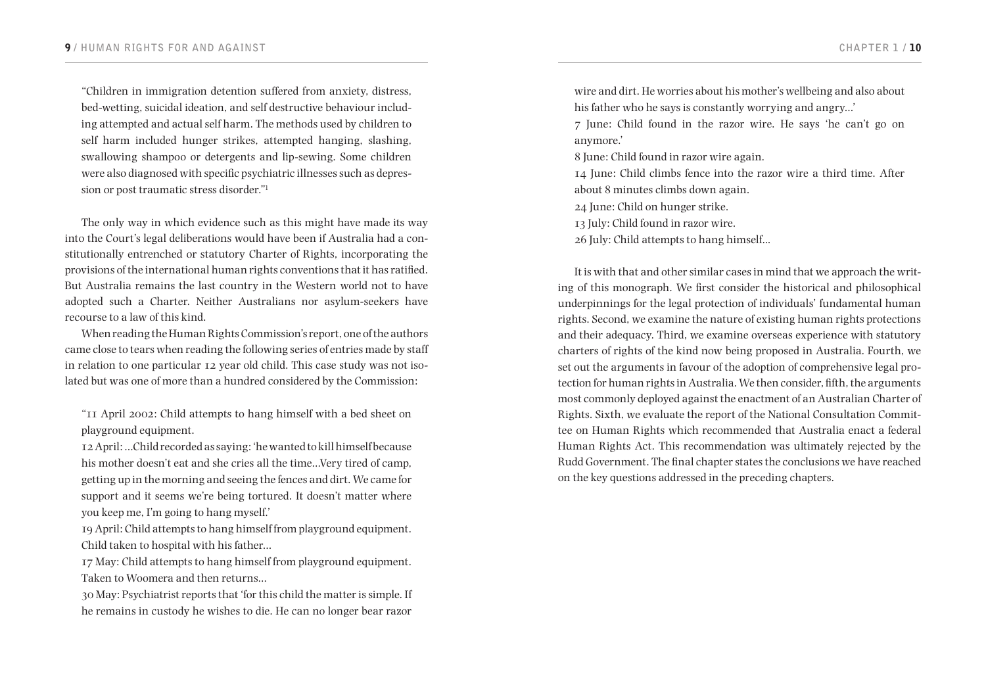"Children in immigration detention suffered from anxiety, distress, bed-wetting, suicidal ideation, and self destructive behaviour including attempted and actual self harm. The methods used by children to self harm included hunger strikes, attempted hanging, slashing, swallowing shampoo or detergents and lip-sewing. Some children were also diagnosed with specific psychiatric illnesses such as depression or post traumatic stress disorder."<sup>1</sup>

The only way in which evidence such as this might have made its way into the Court's legal deliberations would have been if Australia had a constitutionally entrenched or statutory Charter of Rights, incorporating the provisions of the international human rights conventions that it has ratified. But Australia remains the last country in the Western world not to have adopted such a Charter. Neither Australians nor asylum-seekers have recourse to a law of this kind.

When reading the Human Rights Commission's report, one of the authors came close to tears when reading the following series of entries made by staff in relation to one particular 12 year old child. This case study was not isolated but was one of more than a hundred considered by the Commission:

"11 April 2002: Child attempts to hang himself with a bed sheet on playground equipment.

12 April: …Child recorded as saying: 'he wanted to kill himself because his mother doesn't eat and she cries all the time…Very tired of camp, getting up in the morning and seeing the fences and dirt. We came for support and it seems we're being tortured. It doesn't matter where you keep me, I'm going to hang myself.'

19 April: Child attempts to hang himself from playground equipment. Child taken to hospital with his father…

17 May: Child attempts to hang himself from playground equipment. Taken to Woomera and then returns…

30 May: Psychiatrist reports that 'for this child the matter is simple. If he remains in custody he wishes to die. He can no longer bear razor wire and dirt. He worries about his mother's wellbeing and also about his father who he says is constantly worrying and angry…'

7 June: Child found in the razor wire. He says 'he can't go on anymore.'

8 June: Child found in razor wire again.

14 June: Child climbs fence into the razor wire a third time. After about 8 minutes climbs down again.

24 June: Child on hunger strike.

13 July: Child found in razor wire.

26 July: Child attempts to hang himself...

It is with that and other similar cases in mind that we approach the writing of this monograph. We first consider the historical and philosophical underpinnings for the legal protection of individuals' fundamental human rights. Second, we examine the nature of existing human rights protections and their adequacy. Third, we examine overseas experience with statutory charters of rights of the kind now being proposed in Australia. Fourth, we set out the arguments in favour of the adoption of comprehensive legal protection for human rights in Australia. We then consider, fifth, the arguments most commonly deployed against the enactment of an Australian Charter of Rights. Sixth, we evaluate the report of the National Consultation Committee on Human Rights which recommended that Australia enact a federal Human Rights Act. This recommendation was ultimately rejected by the Rudd Government. The final chapter states the conclusions we have reached on the key questions addressed in the preceding chapters.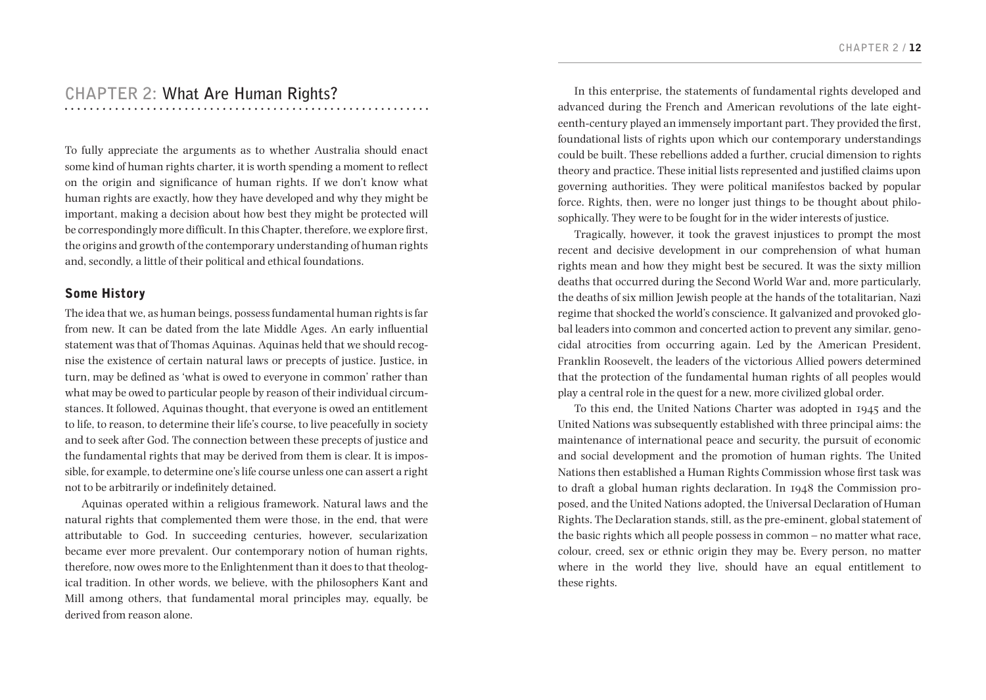# **CHAPTER 2: What Are Human Rights?**

To fully appreciate the arguments as to whether Australia should enact some kind of human rights charter, it is worth spending a moment to reflect on the origin and significance of human rights. If we don't know what human rights are exactly, how they have developed and why they might be important, making a decision about how best they might be protected will be correspondingly more difficult. In this Chapter, therefore, we explore first, the origins and growth of the contemporary understanding of human rights and, secondly, a little of their political and ethical foundations.

### Some History

The idea that we, as human beings, possess fundamental human rights is far from new. It can be dated from the late Middle Ages. An early influential statement was that of Thomas Aquinas. Aquinas held that we should recognise the existence of certain natural laws or precepts of justice. Justice, in turn, may be defined as 'what is owed to everyone in common' rather than what may be owed to particular people by reason of their individual circumstances. It followed, Aquinas thought, that everyone is owed an entitlement to life, to reason, to determine their life's course, to live peacefully in society and to seek after God. The connection between these precepts of justice and the fundamental rights that may be derived from them is clear. It is impossible, for example, to determine one's life course unless one can assert a right not to be arbitrarily or indefinitely detained.

Aquinas operated within a religious framework. Natural laws and the natural rights that complemented them were those, in the end, that were attributable to God. In succeeding centuries, however, secularization became ever more prevalent. Our contemporary notion of human rights, therefore, now owes more to the Enlightenment than it does to that theological tradition. In other words, we believe, with the philosophers Kant and Mill among others, that fundamental moral principles may, equally, be derived from reason alone.

In this enterprise, the statements of fundamental rights developed and advanced during the French and American revolutions of the late eighteenth-century played an immensely important part. They provided the first, foundational lists of rights upon which our contemporary understandings could be built. These rebellions added a further, crucial dimension to rights theory and practice. These initial lists represented and justified claims upon governing authorities. They were political manifestos backed by popular force. Rights, then, were no longer just things to be thought about philosophically. They were to be fought for in the wider interests of justice.

Tragically, however, it took the gravest injustices to prompt the most recent and decisive development in our comprehension of what human rights mean and how they might best be secured. It was the sixty million deaths that occurred during the Second World War and, more particularly, the deaths of six million Jewish people at the hands of the totalitarian, Nazi regime that shocked the world's conscience. It galvanized and provoked global leaders into common and concerted action to prevent any similar, genocidal atrocities from occurring again. Led by the American President, Franklin Roosevelt, the leaders of the victorious Allied powers determined that the protection of the fundamental human rights of all peoples would play a central role in the quest for a new, more civilized global order.

To this end, the United Nations Charter was adopted in 1945 and the United Nations was subsequently established with three principal aims: the maintenance of international peace and security, the pursuit of economic and social development and the promotion of human rights. The United Nations then established a Human Rights Commission whose first task was to draft a global human rights declaration. In 1948 the Commission proposed, and the United Nations adopted, the Universal Declaration of Human Rights. The Declaration stands, still, as the pre-eminent, global statement of the basic rights which all people possess in common – no matter what race, colour, creed, sex or ethnic origin they may be. Every person, no matter where in the world they live, should have an equal entitlement to these rights.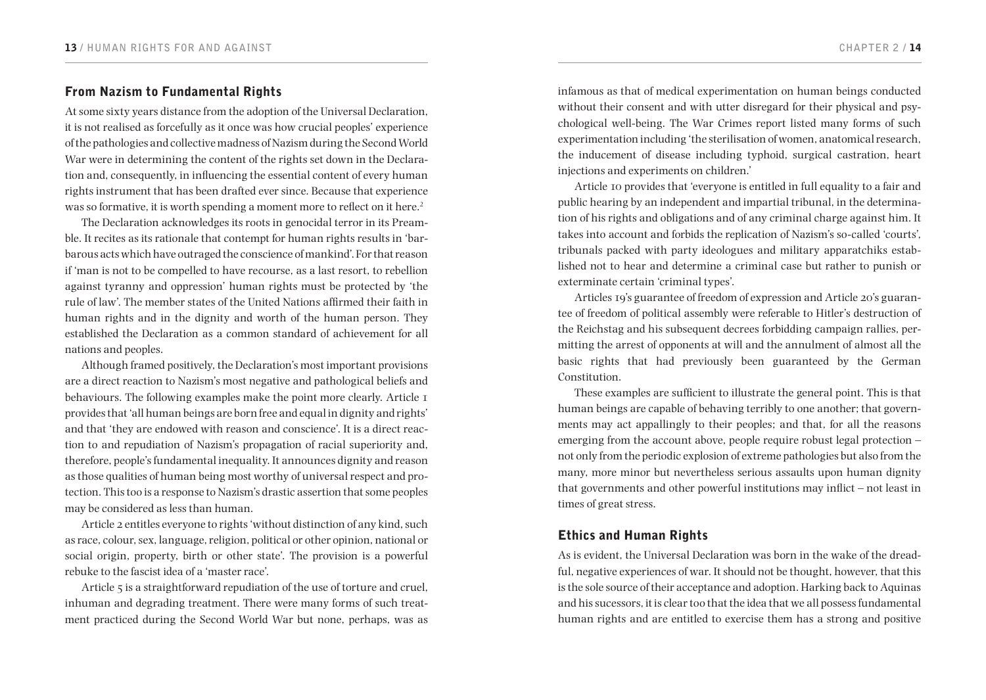# From Nazism to Fundamental Rights

At some sixty years distance from the adoption of the Universal Declaration, it is not realised as forcefully as it once was how crucial peoples' experience of the pathologies and collective madness of Nazism during the Second World War were in determining the content of the rights set down in the Declaration and, consequently, in influencing the essential content of every human rights instrument that has been drafted ever since. Because that experience was so formative, it is worth spending a moment more to reflect on it here.<sup>2</sup>

The Declaration acknowledges its roots in genocidal terror in its Preamble. It recites as its rationale that contempt for human rights results in 'barbarous acts which have outraged the conscience of mankind'. For that reason if 'man is not to be compelled to have recourse, as a last resort, to rebellion against tyranny and oppression' human rights must be protected by 'the rule of law'. The member states of the United Nations affirmed their faith in human rights and in the dignity and worth of the human person. They established the Declaration as a common standard of achievement for all nations and peoples.

Although framed positively, the Declaration's most important provisions are a direct reaction to Nazism's most negative and pathological beliefs and behaviours. The following examples make the point more clearly. Article 1 provides that 'all human beings are born free and equal in dignity and rights' and that 'they are endowed with reason and conscience'. It is a direct reaction to and repudiation of Nazism's propagation of racial superiority and, therefore, people's fundamental inequality. It announces dignity and reason as those qualities of human being most worthy of universal respect and protection. This too is a response to Nazism's drastic assertion that some peoples may be considered as less than human.

Article 2 entitles everyone to rights 'without distinction of any kind, such as race, colour, sex, language, religion, political or other opinion, national or social origin, property, birth or other state'. The provision is a powerful rebuke to the fascist idea of a 'master race'.

Article 5 is a straightforward repudiation of the use of torture and cruel. inhuman and degrading treatment. There were many forms of such treatment practiced during the Second World War but none, perhaps, was as infamous as that of medical experimentation on human beings conducted without their consent and with utter disregard for their physical and psychological well-being. The War Crimes report listed many forms of such experimentation including 'the sterilisation of women, anatomical research, the inducement of disease including typhoid, surgical castration, heart injections and experiments on children.'

Article 10 provides that 'everyone is entitled in full equality to a fair and public hearing by an independent and impartial tribunal, in the determination of his rights and obligations and of any criminal charge against him. It takes into account and forbids the replication of Nazism's so-called 'courts', tribunals packed with party ideologues and military apparatchiks established not to hear and determine a criminal case but rather to punish or exterminate certain 'criminal types'.

Articles 19's guarantee of freedom of expression and Article 20's guarantee of freedom of political assembly were referable to Hitler's destruction of the Reichstag and his subsequent decrees forbidding campaign rallies, permitting the arrest of opponents at will and the annulment of almost all the basic rights that had previously been guaranteed by the German Constitution.

These examples are sufficient to illustrate the general point. This is that human beings are capable of behaving terribly to one another; that governments may act appallingly to their peoples; and that, for all the reasons emerging from the account above, people require robust legal protection – not only from the periodic explosion of extreme pathologies but also from the many, more minor but nevertheless serious assaults upon human dignity that governments and other powerful institutions may inflict – not least in times of great stress.

# Ethics and Human Rights

As is evident, the Universal Declaration was born in the wake of the dreadful, negative experiences of war. It should not be thought, however, that this is the sole source of their acceptance and adoption. Harking back to Aquinas and his sucessors, it is clear too that the idea that we all possess fundamental human rights and are entitled to exercise them has a strong and positive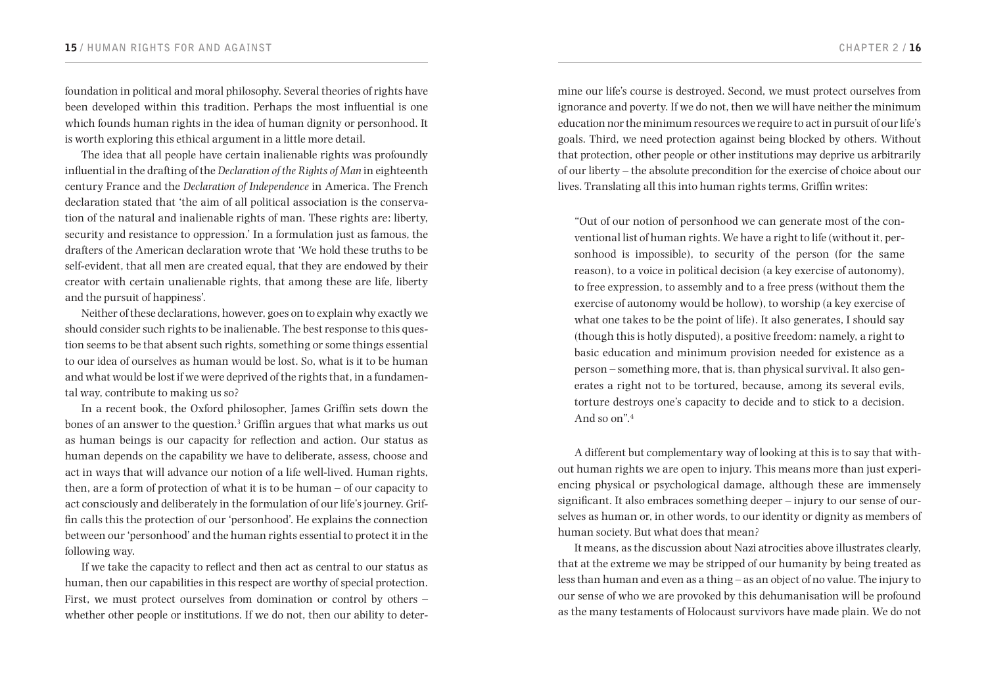foundation in political and moral philosophy. Several theories of rights have been developed within this tradition. Perhaps the most influential is one which founds human rights in the idea of human dignity or personhood. It is worth exploring this ethical argument in a little more detail.

The idea that all people have certain inalienable rights was profoundly influential in the drafting of the *Declaration of the Rights of Man* in eighteenth century France and the *Declaration of Independence* in America. The French declaration stated that 'the aim of all political association is the conservation of the natural and inalienable rights of man. These rights are: liberty, security and resistance to oppression.' In a formulation just as famous, the drafters of the American declaration wrote that 'We hold these truths to be self-evident, that all men are created equal, that they are endowed by their creator with certain unalienable rights, that among these are life, liberty and the pursuit of happiness'.

Neither of these declarations, however, goes on to explain why exactly we should consider such rights to be inalienable. The best response to this question seems to be that absent such rights, something or some things essential to our idea of ourselves as human would be lost. So, what is it to be human and what would be lost if we were deprived of the rights that, in a fundamental way, contribute to making us so?

In a recent book, the Oxford philosopher, James Griffin sets down the bones of an answer to the question.<sup>3</sup> Griffin argues that what marks us out as human beings is our capacity for reflection and action. Our status as human depends on the capability we have to deliberate, assess, choose and act in ways that will advance our notion of a life well-lived. Human rights, then, are a form of protection of what it is to be human – of our capacity to act consciously and deliberately in the formulation of our life's journey. Griffin calls this the protection of our 'personhood'. He explains the connection between our 'personhood' and the human rights essential to protect it in the following way.

If we take the capacity to reflect and then act as central to our status as human, then our capabilities in this respect are worthy of special protection. First, we must protect ourselves from domination or control by others – whether other people or institutions. If we do not, then our ability to determine our life's course is destroyed. Second, we must protect ourselves from ignorance and poverty. If we do not, then we will have neither the minimum education nor the minimum resources we require to act in pursuit of our life's goals. Third, we need protection against being blocked by others. Without that protection, other people or other institutions may deprive us arbitrarily of our liberty – the absolute precondition for the exercise of choice about our lives. Translating all this into human rights terms, Griffin writes:

"Out of our notion of personhood we can generate most of the conventional list of human rights. We have a right to life (without it, personhood is impossible), to security of the person (for the same reason), to a voice in political decision (a key exercise of autonomy), to free expression, to assembly and to a free press (without them the exercise of autonomy would be hollow), to worship (a key exercise of what one takes to be the point of life). It also generates, I should say (though this is hotly disputed), a positive freedom: namely, a right to basic education and minimum provision needed for existence as a person – something more, that is, than physical survival. It also generates a right not to be tortured, because, among its several evils, torture destroys one's capacity to decide and to stick to a decision. And so on".<sup>4</sup>

A different but complementary way of looking at this is to say that without human rights we are open to injury. This means more than just experiencing physical or psychological damage, although these are immensely significant. It also embraces something deeper – injury to our sense of ourselves as human or, in other words, to our identity or dignity as members of human society. But what does that mean?

It means, as the discussion about Nazi atrocities above illustrates clearly, that at the extreme we may be stripped of our humanity by being treated as less than human and even as a thing – as an object of no value. The injury to our sense of who we are provoked by this dehumanisation will be profound as the many testaments of Holocaust survivors have made plain. We do not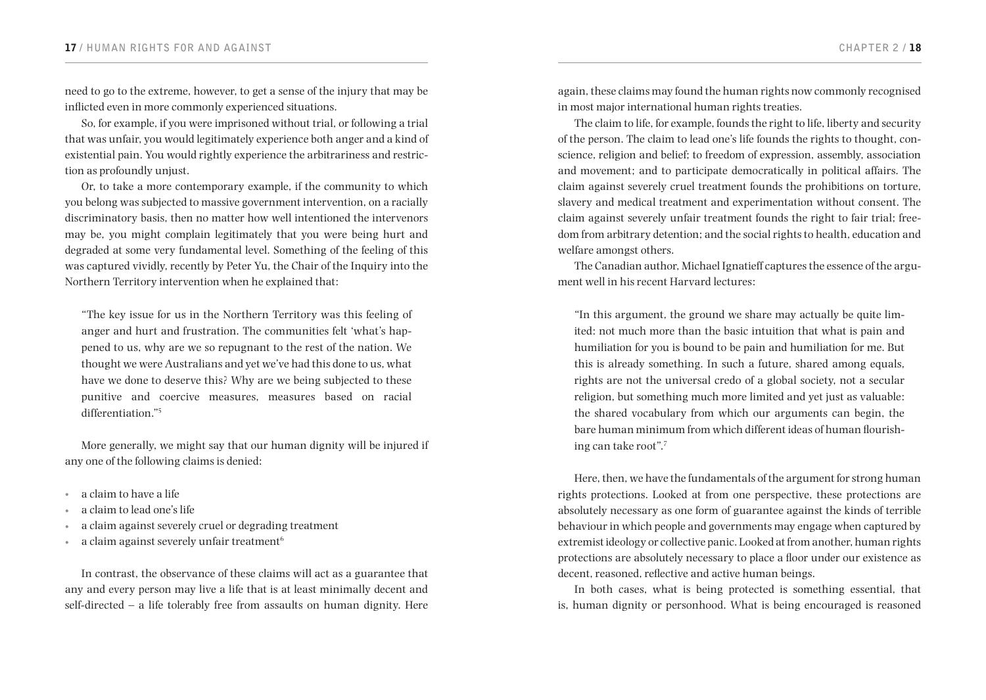need to go to the extreme, however, to get a sense of the injury that may be inflicted even in more commonly experienced situations.

So, for example, if you were imprisoned without trial, or following a trial that was unfair, you would legitimately experience both anger and a kind of existential pain. You would rightly experience the arbitrariness and restriction as profoundly unjust.

Or, to take a more contemporary example, if the community to which you belong was subjected to massive government intervention, on a racially discriminatory basis, then no matter how well intentioned the intervenors may be, you might complain legitimately that you were being hurt and degraded at some very fundamental level. Something of the feeling of this was captured vividly, recently by Peter Yu, the Chair of the Inquiry into the Northern Territory intervention when he explained that:

"The key issue for us in the Northern Territory was this feeling of anger and hurt and frustration. The communities felt 'what's happened to us, why are we so repugnant to the rest of the nation. We thought we were Australians and yet we've had this done to us, what have we done to deserve this? Why are we being subjected to these punitive and coercive measures, measures based on racial differentiation."<sup>5</sup>

More generally, we might say that our human dignity will be injured if any one of the following claims is denied:

- • a claim to have a life
- a claim to lead one's life
- a claim against severely cruel or degrading treatment
- a claim against severely unfair treatment<sup>6</sup>

In contrast, the observance of these claims will act as a guarantee that any and every person may live a life that is at least minimally decent and self-directed – a life tolerably free from assaults on human dignity. Here

again, these claims may found the human rights now commonly recognised in most major international human rights treaties.

The claim to life, for example, founds the right to life, liberty and security of the person. The claim to lead one's life founds the rights to thought, conscience, religion and belief; to freedom of expression, assembly, association and movement; and to participate democratically in political affairs. The claim against severely cruel treatment founds the prohibitions on torture, slavery and medical treatment and experimentation without consent. The claim against severely unfair treatment founds the right to fair trial; freedom from arbitrary detention; and the social rights to health, education and welfare amongst others.

The Canadian author, Michael Ignatieff captures the essence of the argument well in his recent Harvard lectures:

"In this argument, the ground we share may actually be quite limited: not much more than the basic intuition that what is pain and humiliation for you is bound to be pain and humiliation for me. But this is already something. In such a future, shared among equals, rights are not the universal credo of a global society, not a secular religion, but something much more limited and yet just as valuable: the shared vocabulary from which our arguments can begin, the bare human minimum from which different ideas of human flourishing can take root".<sup>7</sup>

Here, then, we have the fundamentals of the argument for strong human rights protections. Looked at from one perspective, these protections are absolutely necessary as one form of guarantee against the kinds of terrible behaviour in which people and governments may engage when captured by extremist ideology or collective panic. Looked at from another, human rights protections are absolutely necessary to place a floor under our existence as decent, reasoned, reflective and active human beings.

In both cases, what is being protected is something essential, that is, human dignity or personhood. What is being encouraged is reasoned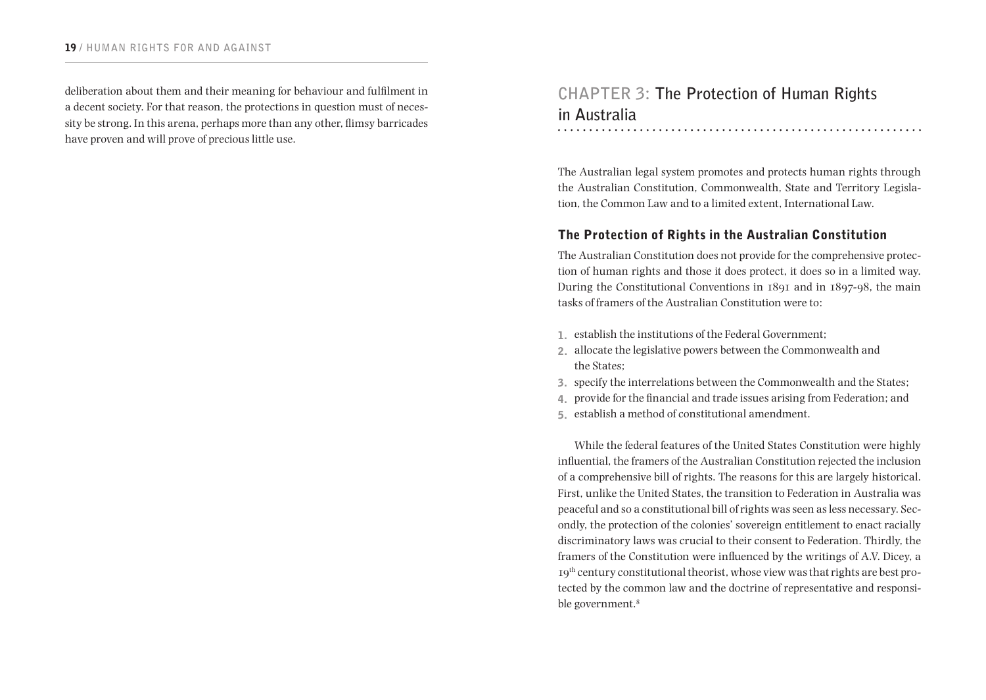deliberation about them and their meaning for behaviour and fulfilment in a decent society. For that reason, the protections in question must of necessity be strong. In this arena, perhaps more than any other, flimsy barricades have proven and will prove of precious little use.

# **CHAPTER 3: The Protection of Human Rights in Australia**

The Australian legal system promotes and protects human rights through the Australian Constitution, Commonwealth, State and Territory Legislation, the Common Law and to a limited extent, International Law.

# The Protection of Rights in the Australian Constitution

The Australian Constitution does not provide for the comprehensive protection of human rights and those it does protect, it does so in a limited way. During the Constitutional Conventions in 1891 and in 1897-98, the main tasks of framers of the Australian Constitution were to:

- 1. establish the institutions of the Federal Government;
- 2. allocate the legislative powers between the Commonwealth and the States;
- 3. specify the interrelations between the Commonwealth and the States;
- 4. provide for the financial and trade issues arising from Federation; and
- 5. establish a method of constitutional amendment.

While the federal features of the United States Constitution were highly influential, the framers of the Australian Constitution rejected the inclusion of a comprehensive bill of rights. The reasons for this are largely historical. First, unlike the United States, the transition to Federation in Australia was peaceful and so a constitutional bill of rights was seen as less necessary. Secondly, the protection of the colonies' sovereign entitlement to enact racially discriminatory laws was crucial to their consent to Federation. Thirdly, the framers of the Constitution were influenced by the writings of A.V. Dicey, a 19th century constitutional theorist, whose view was that rights are best protected by the common law and the doctrine of representative and responsible government.<sup>8</sup>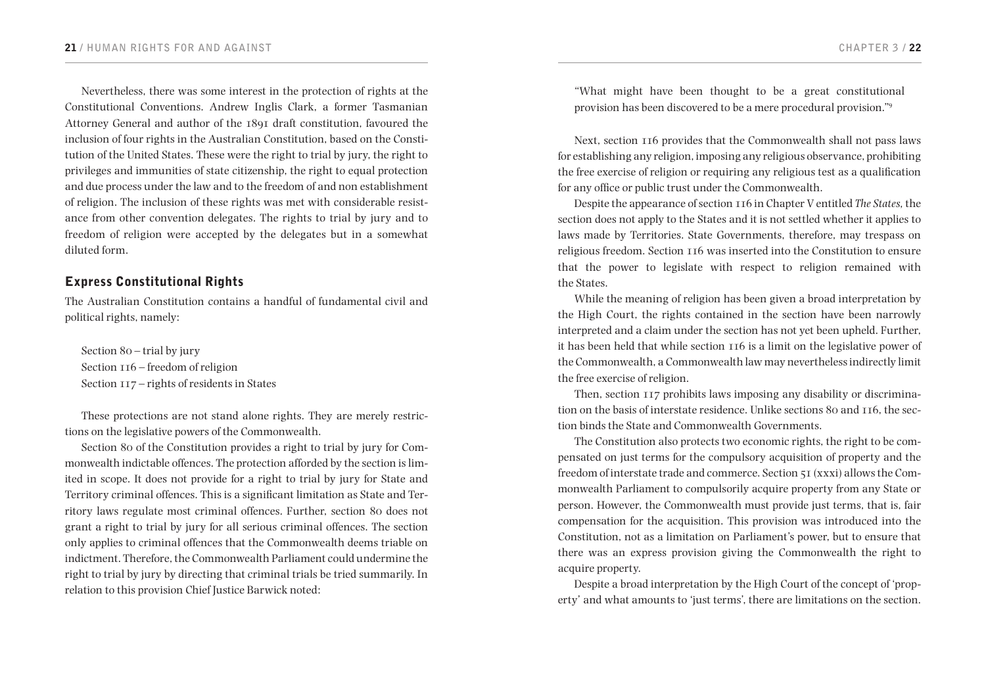Nevertheless, there was some interest in the protection of rights at the Constitutional Conventions. Andrew Inglis Clark, a former Tasmanian Attorney General and author of the 1891 draft constitution, favoured the inclusion of four rights in the Australian Constitution, based on the Constitution of the United States. These were the right to trial by jury, the right to privileges and immunities of state citizenship, the right to equal protection and due process under the law and to the freedom of and non establishment of religion. The inclusion of these rights was met with considerable resistance from other convention delegates. The rights to trial by jury and to freedom of religion were accepted by the delegates but in a somewhat diluted form.

# Express Constitutional Rights

The Australian Constitution contains a handful of fundamental civil and political rights, namely:

Section 80 – trial by jury Section 116 – freedom of religion Section 117 – rights of residents in States

These protections are not stand alone rights. They are merely restrictions on the legislative powers of the Commonwealth.

Section 80 of the Constitution provides a right to trial by jury for Commonwealth indictable offences. The protection afforded by the section is limited in scope. It does not provide for a right to trial by jury for State and Territory criminal offences. This is a significant limitation as State and Territory laws regulate most criminal offences. Further, section 80 does not grant a right to trial by jury for all serious criminal offences. The section only applies to criminal offences that the Commonwealth deems triable on indictment. Therefore, the Commonwealth Parliament could undermine the right to trial by jury by directing that criminal trials be tried summarily. In relation to this provision Chief Justice Barwick noted:

"What might have been thought to be a great constitutional provision has been discovered to be a mere procedural provision."<sup>9</sup>

Next, section 116 provides that the Commonwealth shall not pass laws for establishing any religion, imposing any religious observance, prohibiting the free exercise of religion or requiring any religious test as a qualification for any office or public trust under the Commonwealth.

Despite the appearance of section 116 in Chapter V entitled *The States,* the section does not apply to the States and it is not settled whether it applies to laws made by Territories. State Governments, therefore, may trespass on religious freedom. Section 116 was inserted into the Constitution to ensure that the power to legislate with respect to religion remained with the States.

While the meaning of religion has been given a broad interpretation by the High Court, the rights contained in the section have been narrowly interpreted and a claim under the section has not yet been upheld. Further, it has been held that while section 116 is a limit on the legislative power of the Commonwealth, a Commonwealth law may nevertheless indirectly limit the free exercise of religion.

Then, section 117 prohibits laws imposing any disability or discrimination on the basis of interstate residence. Unlike sections 80 and 116, the section binds the State and Commonwealth Governments.

The Constitution also protects two economic rights, the right to be compensated on just terms for the compulsory acquisition of property and the freedom of interstate trade and commerce. Section 51 (xxxi) allows the Commonwealth Parliament to compulsorily acquire property from any State or person. However, the Commonwealth must provide just terms, that is, fair compensation for the acquisition. This provision was introduced into the Constitution, not as a limitation on Parliament's power, but to ensure that there was an express provision giving the Commonwealth the right to acquire property.

Despite a broad interpretation by the High Court of the concept of 'property' and what amounts to 'just terms', there are limitations on the section.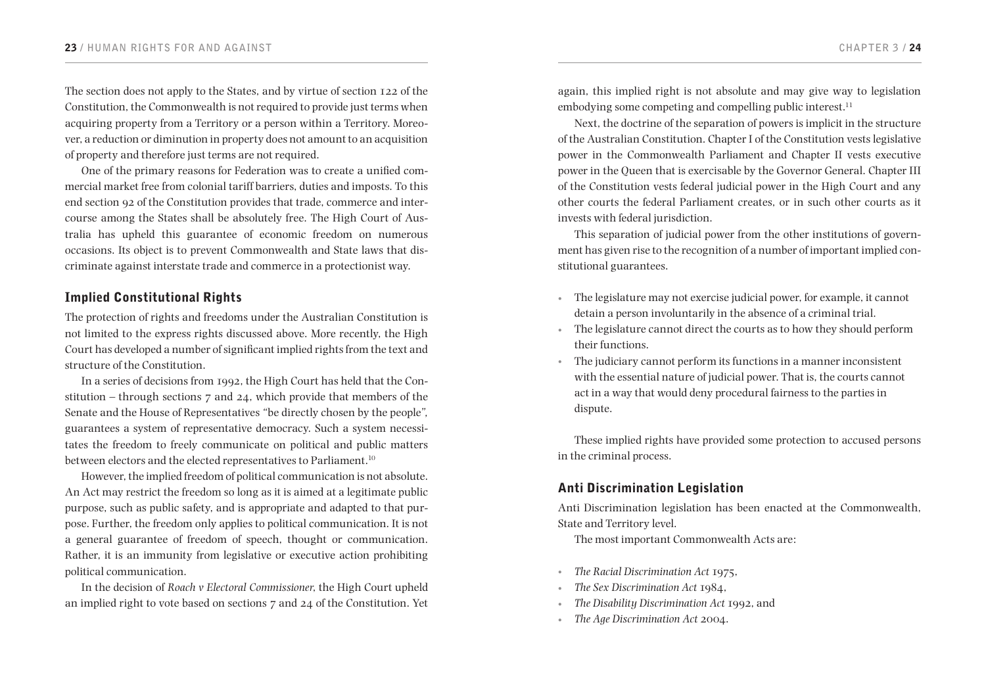The section does not apply to the States, and by virtue of section 122 of the Constitution, the Commonwealth is not required to provide just terms when acquiring property from a Territory or a person within a Territory. Moreover, a reduction or diminution in property does not amount to an acquisition of property and therefore just terms are not required.

One of the primary reasons for Federation was to create a unified commercial market free from colonial tariff barriers, duties and imposts. To this end section 92 of the Constitution provides that trade, commerce and intercourse among the States shall be absolutely free. The High Court of Australia has upheld this guarantee of economic freedom on numerous occasions. Its object is to prevent Commonwealth and State laws that discriminate against interstate trade and commerce in a protectionist way.

# Implied Constitutional Rights

The protection of rights and freedoms under the Australian Constitution is not limited to the express rights discussed above. More recently, the High Court has developed a number of significant implied rights from the text and structure of the Constitution.

In a series of decisions from 1992, the High Court has held that the Constitution – through sections 7 and 24, which provide that members of the Senate and the House of Representatives *"*be directly chosen by the people*",*  guarantees a system of representative democracy. Such a system necessitates the freedom to freely communicate on political and public matters between electors and the elected representatives to Parliament.<sup>10</sup>

However, the implied freedom of political communication is not absolute. An Act may restrict the freedom so long as it is aimed at a legitimate public purpose, such as public safety, and is appropriate and adapted to that purpose. Further, the freedom only applies to political communication. It is not a general guarantee of freedom of speech, thought or communication. Rather, it is an immunity from legislative or executive action prohibiting political communication.

In the decision of *Roach v Electoral Commissioner*, the High Court upheld an implied right to vote based on sections 7 and 24 of the Constitution. Yet again, this implied right is not absolute and may give way to legislation embodying some competing and compelling public interest.<sup>11</sup>

Next, the doctrine of the separation of powers is implicit in the structure of the Australian Constitution. Chapter I of the Constitution vests legislative power in the Commonwealth Parliament and Chapter II vests executive power in the Queen that is exercisable by the Governor General. Chapter III of the Constitution vests federal judicial power in the High Court and any other courts the federal Parliament creates, or in such other courts as it invests with federal jurisdiction.

This separation of judicial power from the other institutions of government has given rise to the recognition of a number of important implied constitutional guarantees.

- • The legislature may not exercise judicial power, for example, it cannot detain a person involuntarily in the absence of a criminal trial.
- The legislature cannot direct the courts as to how they should perform their functions.
- • The judiciary cannot perform its functions in a manner inconsistent with the essential nature of judicial power. That is, the courts cannot act in a way that would deny procedural fairness to the parties in dispute.

These implied rights have provided some protection to accused persons in the criminal process.

# Anti Discrimination Legislation

Anti Discrimination legislation has been enacted at the Commonwealth, State and Territory level.

The most important Commonwealth Acts are:

- • *The Racial Discrimination Act* 1975,
- The Sex Discrimination Act 1984,
- The Disability Discrimination Act 1992, and
- The Age Discrimination Act 2004.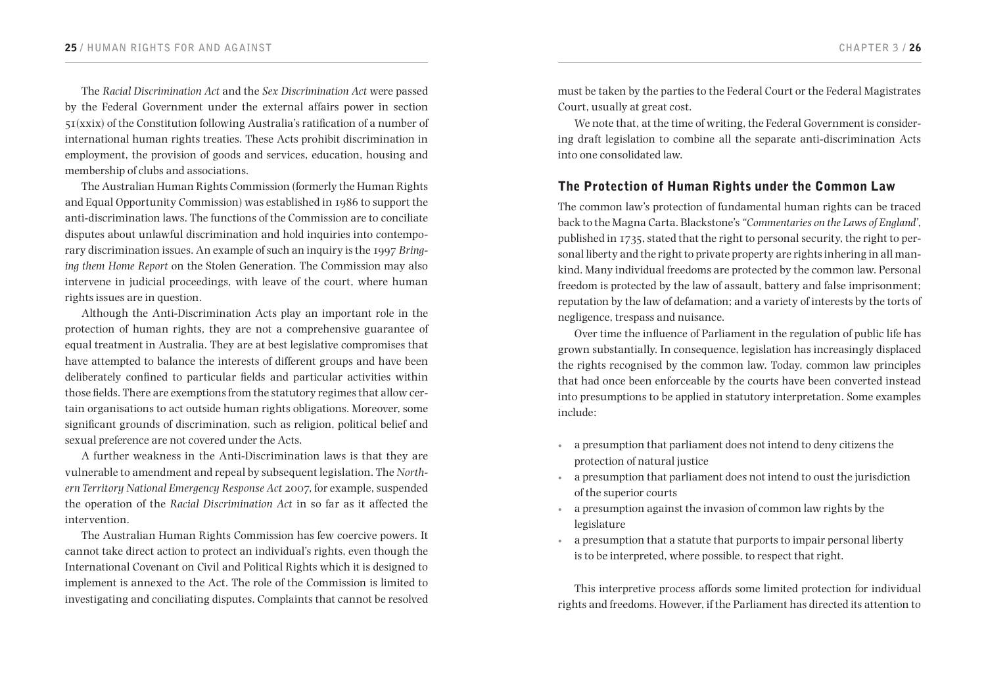The *Racial Discrimination Act* and the *Sex Discrimination Act* were passed by the Federal Government under the external affairs power in section 51(xxix) of the Constitution following Australia's ratification of a number of international human rights treaties. These Acts prohibit discrimination in employment, the provision of goods and services, education, housing and membership of clubs and associations.

The Australian Human Rights Commission (formerly the Human Rights and Equal Opportunity Commission) was established in 1986 to support the anti-discrimination laws. The functions of the Commission are to conciliate disputes about unlawful discrimination and hold inquiries into contemporary discrimination issues. An example of such an inquiry is the 1997 *Bringing them Home Report* on the Stolen Generation. The Commission may also intervene in judicial proceedings, with leave of the court, where human rights issues are in question.

Although the Anti-Discrimination Acts play an important role in the protection of human rights, they are not a comprehensive guarantee of equal treatment in Australia. They are at best legislative compromises that have attempted to balance the interests of different groups and have been deliberately confined to particular fields and particular activities within those fields. There are exemptions from the statutory regimes that allow certain organisations to act outside human rights obligations. Moreover, some significant grounds of discrimination, such as religion, political belief and sexual preference are not covered under the Acts.

A further weakness in the Anti-Discrimination laws is that they are vulnerable to amendment and repeal by subsequent legislation. The *Northern Territory National Emergency Response Act* 2007, for example, suspended the operation of the *Racial Discrimination Act* in so far as it affected the intervention.

The Australian Human Rights Commission has few coercive powers. It cannot take direct action to protect an individual's rights, even though the International Covenant on Civil and Political Rights which it is designed to implement is annexed to the Act. The role of the Commission is limited to investigating and conciliating disputes. Complaints that cannot be resolved

must be taken by the parties to the Federal Court or the Federal Magistrates Court, usually at great cost.

We note that, at the time of writing, the Federal Government is considering draft legislation to combine all the separate anti-discrimination Acts into one consolidated law.

### The Protection of Human Rights under the Common Law

The common law's protection of fundamental human rights can be traced back to the Magna Carta. Blackstone's *"Commentaries on the Laws of England'*, published in 1735, stated that the right to personal security, the right to personal liberty and the right to private property are rights inhering in all mankind. Many individual freedoms are protected by the common law. Personal freedom is protected by the law of assault, battery and false imprisonment; reputation by the law of defamation; and a variety of interests by the torts of negligence, trespass and nuisance.

Over time the influence of Parliament in the regulation of public life has grown substantially. In consequence, legislation has increasingly displaced the rights recognised by the common law. Today, common law principles that had once been enforceable by the courts have been converted instead into presumptions to be applied in statutory interpretation. Some examples include:

- a presumption that parliament does not intend to deny citizens the protection of natural justice
- a presumption that parliament does not intend to oust the jurisdiction of the superior courts
- a presumption against the invasion of common law rights by the legislature
- • a presumption that a statute that purports to impair personal liberty is to be interpreted, where possible, to respect that right.

This interpretive process affords some limited protection for individual rights and freedoms. However, if the Parliament has directed its attention to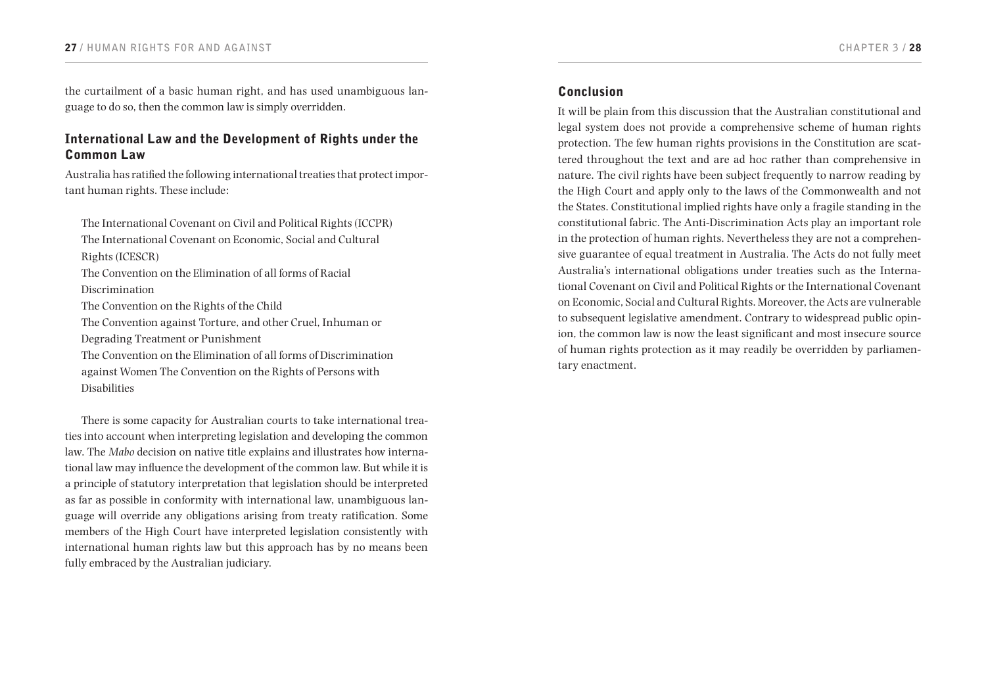the curtailment of a basic human right, and has used unambiguous language to do so, then the common law is simply overridden.

# International Law and the Development of Rights under the Common Law

Australia has ratified the following international treaties that protect important human rights. These include:

The International Covenant on Civil and Political Rights (ICCPR) The International Covenant on Economic, Social and Cultural Rights (ICESCR) The Convention on the Elimination of all forms of Racial Discrimination The Convention on the Rights of the Child The Convention against Torture, and other Cruel, Inhuman or Degrading Treatment or Punishment The Convention on the Elimination of all forms of Discrimination against Women The Convention on the Rights of Persons with Disabilities

There is some capacity for Australian courts to take international treaties into account when interpreting legislation and developing the common law. The *Mabo* decision on native title explains and illustrates how international law may influence the development of the common law. But while it is a principle of statutory interpretation that legislation should be interpreted as far as possible in conformity with international law, unambiguous language will override any obligations arising from treaty ratification. Some members of the High Court have interpreted legislation consistently with international human rights law but this approach has by no means been fully embraced by the Australian judiciary.

# Conclusion

It will be plain from this discussion that the Australian constitutional and legal system does not provide a comprehensive scheme of human rights protection. The few human rights provisions in the Constitution are scattered throughout the text and are ad hoc rather than comprehensive in nature. The civil rights have been subject frequently to narrow reading by the High Court and apply only to the laws of the Commonwealth and not the States. Constitutional implied rights have only a fragile standing in the constitutional fabric. The Anti-Discrimination Acts play an important role in the protection of human rights. Nevertheless they are not a comprehensive guarantee of equal treatment in Australia. The Acts do not fully meet Australia's international obligations under treaties such as the International Covenant on Civil and Political Rights or the International Covenant on Economic, Social and Cultural Rights. Moreover, the Acts are vulnerable to subsequent legislative amendment. Contrary to widespread public opinion, the common law is now the least significant and most insecure source of human rights protection as it may readily be overridden by parliamentary enactment.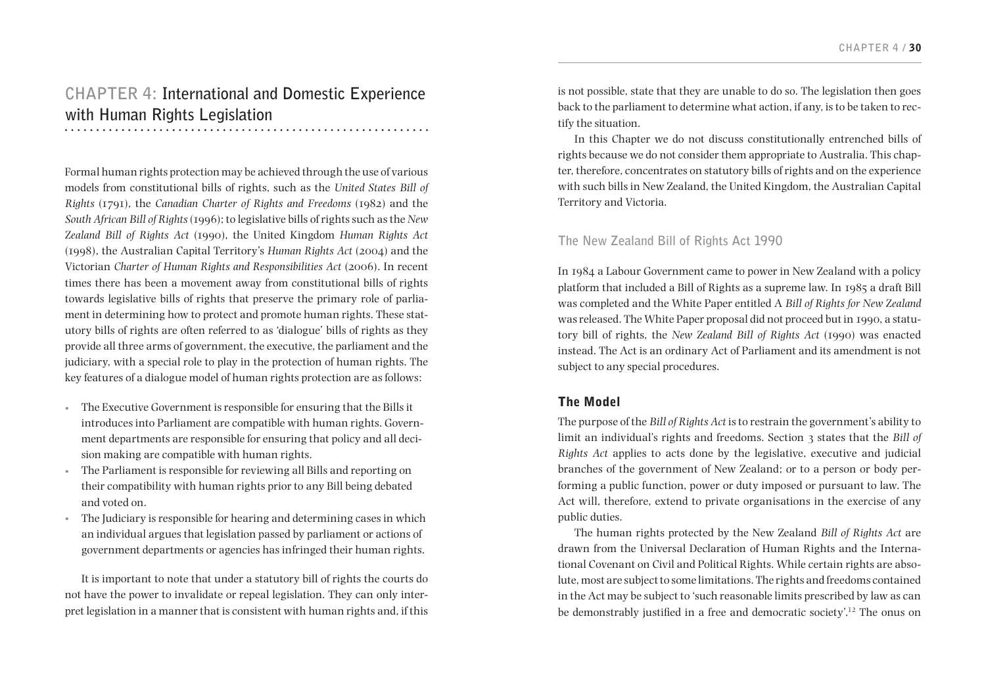# **CHAPTER 4: International and Domestic Experience with Human Rights Legislation**

Formal human rights protection may be achieved through the use of various models from constitutional bills of rights, such as the *United States Bill of Rights* (1791), the *Canadian Charter of Rights and Freedoms* (1982) and the *South African Bill of Rights* (1996); to legislative bills of rights such as the *New Zealand Bill of Rights Act* (1990), the United Kingdom *Human Rights Act* (1998), the Australian Capital Territory's *Human Rights Act* (2004) and the Victorian *Charter of Human Rights and Responsibilities Act* (2006). In recent times there has been a movement away from constitutional bills of rights towards legislative bills of rights that preserve the primary role of parliament in determining how to protect and promote human rights. These statutory bills of rights are often referred to as 'dialogue' bills of rights as they provide all three arms of government, the executive, the parliament and the judiciary, with a special role to play in the protection of human rights. The key features of a dialogue model of human rights protection are as follows:

- • The Executive Government is responsible for ensuring that the Bills it introduces into Parliament are compatible with human rights. Government departments are responsible for ensuring that policy and all decision making are compatible with human rights.
- The Parliament is responsible for reviewing all Bills and reporting on their compatibility with human rights prior to any Bill being debated and voted on.
- The Judiciary is responsible for hearing and determining cases in which an individual argues that legislation passed by parliament or actions of government departments or agencies has infringed their human rights.

It is important to note that under a statutory bill of rights the courts do not have the power to invalidate or repeal legislation. They can only interpret legislation in a manner that is consistent with human rights and, if this is not possible, state that they are unable to do so. The legislation then goes back to the parliament to determine what action, if any, is to be taken to rectify the situation.

In this Chapter we do not discuss constitutionally entrenched bills of rights because we do not consider them appropriate to Australia. This chapter, therefore, concentrates on statutory bills of rights and on the experience with such bills in New Zealand, the United Kingdom, the Australian Capital Territory and Victoria.

### **The New Zealand Bill of Rights Act 1990**

In 1984 a Labour Government came to power in New Zealand with a policy platform that included a Bill of Rights as a supreme law. In 1985 a draft Bill was completed and the White Paper entitled A *Bill of Rights for New Zealand*  was released. The White Paper proposal did not proceed but in 1990, a statutory bill of rights, the *New Zealand Bill of Rights Act* (1990) was enacted instead. The Act is an ordinary Act of Parliament and its amendment is not subject to any special procedures.

# The Model

The purpose of the *Bill of Rights Act* is to restrain the government's ability to limit an individual's rights and freedoms. Section 3 states that the *Bill of Rights Act* applies to acts done by the legislative, executive and judicial branches of the government of New Zealand; or to a person or body performing a public function, power or duty imposed or pursuant to law. The Act will, therefore, extend to private organisations in the exercise of any public duties.

The human rights protected by the New Zealand *Bill of Rights Act* are drawn from the Universal Declaration of Human Rights and the International Covenant on Civil and Political Rights. While certain rights are absolute, most are subject to some limitations. The rights and freedoms contained in the Act may be subject to 'such reasonable limits prescribed by law as can be demonstrably justified in a free and democratic society'.12 The onus on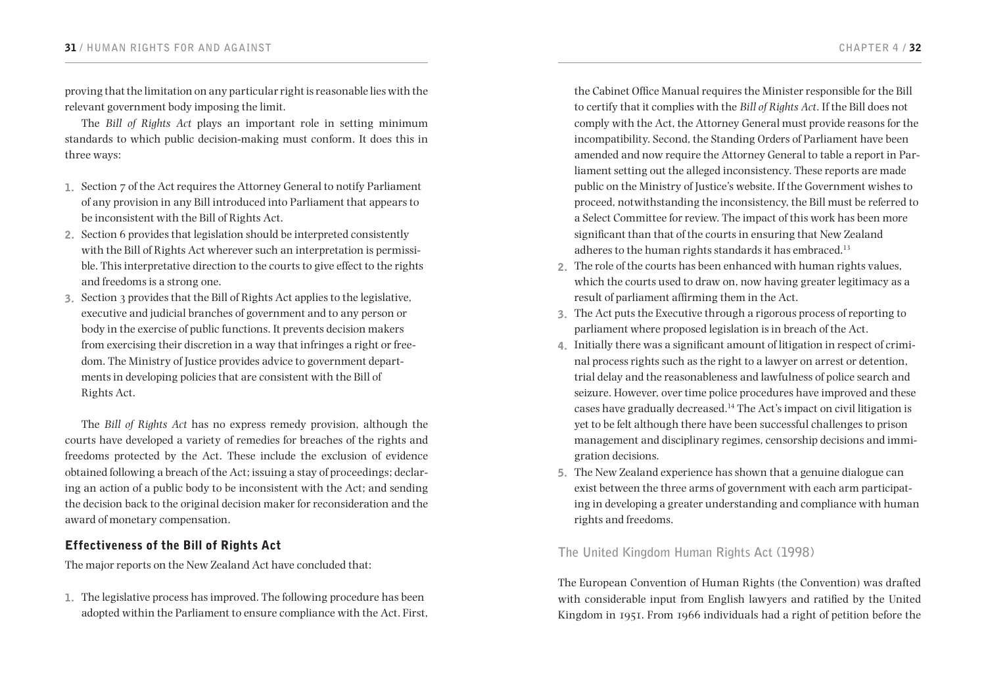proving that the limitation on any particular right is reasonable lies with the relevant government body imposing the limit.

The *Bill of Rights Act* plays an important role in setting minimum standards to which public decision-making must conform. It does this in three ways:

- 1. Section 7 of the Act requires the Attorney General to notify Parliament of any provision in any Bill introduced into Parliament that appears to be inconsistent with the Bill of Rights Act.
- 2. Section 6 provides that legislation should be interpreted consistently with the Bill of Rights Act wherever such an interpretation is permissible. This interpretative direction to the courts to give effect to the rights and freedoms is a strong one.
- 3. Section 3 provides that the Bill of Rights Act applies to the legislative, executive and judicial branches of government and to any person or body in the exercise of public functions. It prevents decision makers from exercising their discretion in a way that infringes a right or freedom. The Ministry of Justice provides advice to government departments in developing policies that are consistent with the Bill of Rights Act.

The *Bill of Rights Act* has no express remedy provision, although the courts have developed a variety of remedies for breaches of the rights and freedoms protected by the Act. These include the exclusion of evidence obtained following a breach of the Act; issuing a stay of proceedings; declaring an action of a public body to be inconsistent with the Act; and sending the decision back to the original decision maker for reconsideration and the award of monetary compensation.

# Effectiveness of the Bill of Rights Act

The major reports on the New Zealand Act have concluded that:

1. The legislative process has improved. The following procedure has been adopted within the Parliament to ensure compliance with the Act. First,

the Cabinet Office Manual requires the Minister responsible for the Bill to certify that it complies with the *Bill of Rights Act*. If the Bill does not comply with the Act, the Attorney General must provide reasons for the incompatibility. Second, the Standing Orders of Parliament have been amended and now require the Attorney General to table a report in Parliament setting out the alleged inconsistency. These reports are made public on the Ministry of Justice's website. If the Government wishes to proceed, notwithstanding the inconsistency, the Bill must be referred to a Select Committee for review. The impact of this work has been more significant than that of the courts in ensuring that New Zealand adheres to the human rights standards it has embraced.<sup>13</sup>

- 2. The role of the courts has been enhanced with human rights values, which the courts used to draw on, now having greater legitimacy as a result of parliament affirming them in the Act.
- 3. The Act puts the Executive through a rigorous process of reporting to parliament where proposed legislation is in breach of the Act.
- 4. Initially there was a significant amount of litigation in respect of criminal process rights such as the right to a lawyer on arrest or detention, trial delay and the reasonableness and lawfulness of police search and seizure. However, over time police procedures have improved and these cases have gradually decreased.<sup>14</sup> The Act's impact on civil litigation is yet to be felt although there have been successful challenges to prison management and disciplinary regimes, censorship decisions and immigration decisions.
- 5. The New Zealand experience has shown that a genuine dialogue can exist between the three arms of government with each arm participating in developing a greater understanding and compliance with human rights and freedoms.

# **The United Kingdom Human Rights Act (1998)**

The European Convention of Human Rights (the Convention) was drafted with considerable input from English lawyers and ratified by the United Kingdom in 1951. From 1966 individuals had a right of petition before the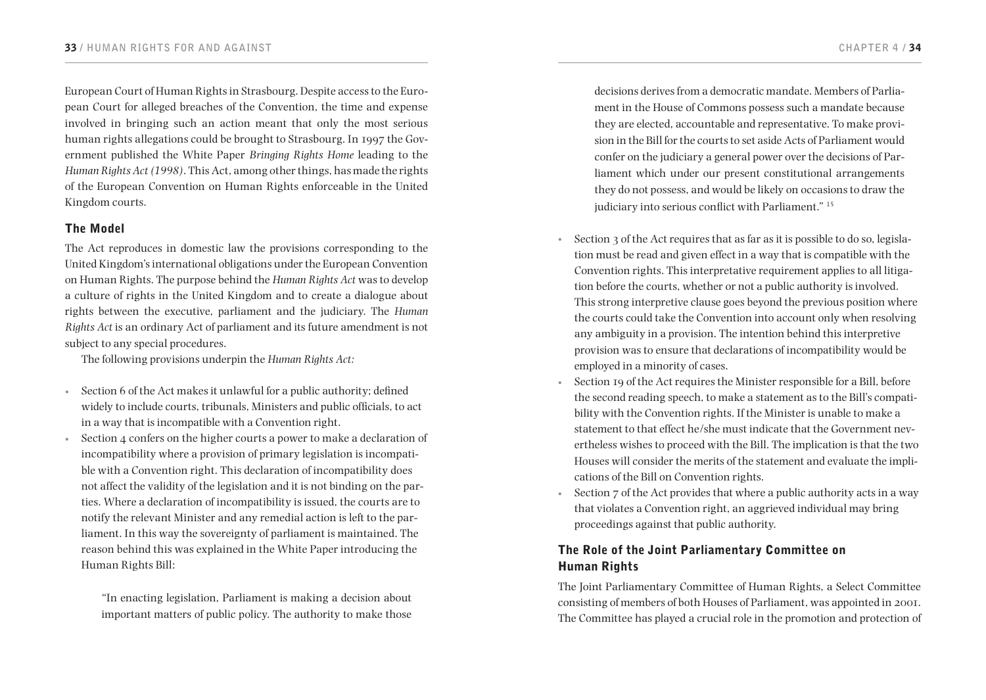European Court of Human Rights in Strasbourg. Despite access to the European Court for alleged breaches of the Convention, the time and expense involved in bringing such an action meant that only the most serious human rights allegations could be brought to Strasbourg. In 1997 the Government published the White Paper *Bringing Rights Home* leading to the *Human Rights Act (1998)*. This Act, among other things, has made the rights of the European Convention on Human Rights enforceable in the United Kingdom courts.

# The Model

The Act reproduces in domestic law the provisions corresponding to the United Kingdom's international obligations under the European Convention on Human Rights. The purpose behind the *Human Rights Act* was to develop a culture of rights in the United Kingdom and to create a dialogue about rights between the executive, parliament and the judiciary. The *Human Rights Act* is an ordinary Act of parliament and its future amendment is not subject to any special procedures.

The following provisions underpin the *Human Rights Act:*

- Section 6 of the Act makes it unlawful for a public authority; defined widely to include courts, tribunals, Ministers and public officials, to act in a way that is incompatible with a Convention right.
- Section 4 confers on the higher courts a power to make a declaration of incompatibility where a provision of primary legislation is incompatible with a Convention right. This declaration of incompatibility does not affect the validity of the legislation and it is not binding on the parties. Where a declaration of incompatibility is issued, the courts are to notify the relevant Minister and any remedial action is left to the parliament. In this way the sovereignty of parliament is maintained. The reason behind this was explained in the White Paper introducing the Human Rights Bill:

"In enacting legislation, Parliament is making a decision about important matters of public policy. The authority to make those

decisions derives from a democratic mandate. Members of Parliament in the House of Commons possess such a mandate because they are elected, accountable and representative. To make provision in the Bill for the courts to set aside Acts of Parliament would confer on the judiciary a general power over the decisions of Parliament which under our present constitutional arrangements they do not possess, and would be likely on occasions to draw the judiciary into serious conflict with Parliament." <sup>15</sup>

- Section 3 of the Act requires that as far as it is possible to do so, legislation must be read and given effect in a way that is compatible with the Convention rights. This interpretative requirement applies to all litigation before the courts, whether or not a public authority is involved. This strong interpretive clause goes beyond the previous position where the courts could take the Convention into account only when resolving any ambiguity in a provision. The intention behind this interpretive provision was to ensure that declarations of incompatibility would be employed in a minority of cases.
- Section 19 of the Act requires the Minister responsible for a Bill, before the second reading speech, to make a statement as to the Bill's compatibility with the Convention rights. If the Minister is unable to make a statement to that effect he/she must indicate that the Government nevertheless wishes to proceed with the Bill. The implication is that the two Houses will consider the merits of the statement and evaluate the implications of the Bill on Convention rights.
- Section 7 of the Act provides that where a public authority acts in a way that violates a Convention right, an aggrieved individual may bring proceedings against that public authority.

# The Role of the Joint Parliamentary Committee on Human Rights

The Joint Parliamentary Committee of Human Rights, a Select Committee consisting of members of both Houses of Parliament, was appointed in 2001. The Committee has played a crucial role in the promotion and protection of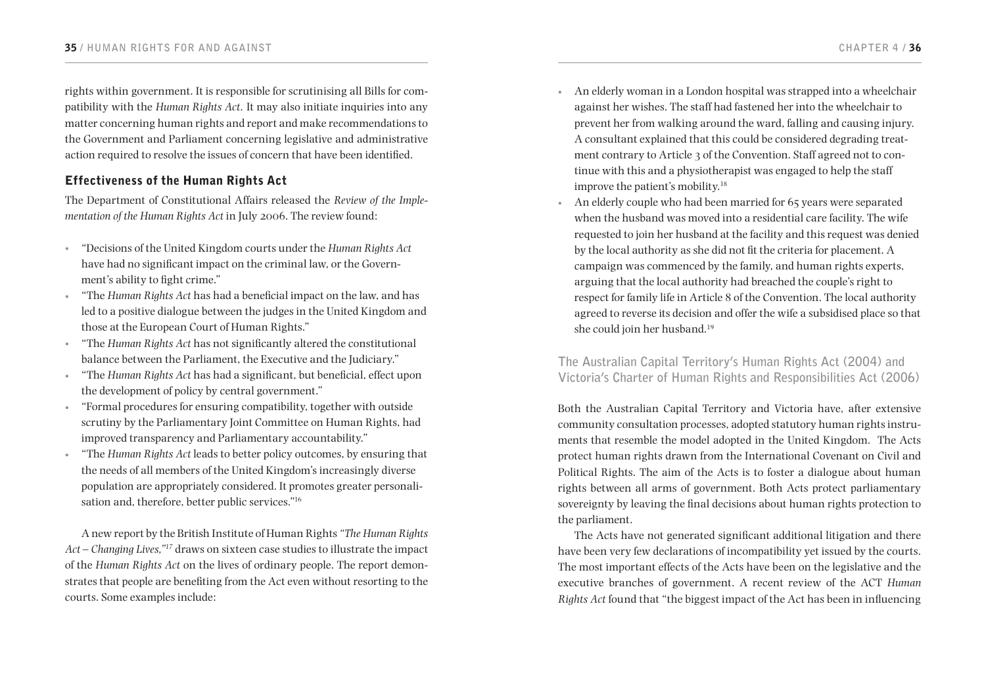rights within government. It is responsible for scrutinising all Bills for compatibility with the *Human Rights Act.* It may also initiate inquiries into any matter concerning human rights and report and make recommendations to the Government and Parliament concerning legislative and administrative action required to resolve the issues of concern that have been identified.

# Effectiveness of the Human Rights Act

The Department of Constitutional Affairs released the *Review of the Implementation of the Human Rights Act* in July 2006. The review found:

- • "Decisions of the United Kingdom courts under the *Human Rights Act* have had no significant impact on the criminal law, or the Government's ability to fight crime."
- • "The *Human Rights Act* has had a beneficial impact on the law, and has led to a positive dialogue between the judges in the United Kingdom and those at the European Court of Human Rights."
- • "The *Human Rights Act* has not significantly altered the constitutional balance between the Parliament, the Executive and the Judiciary."
- • "The *Human Rights Act* has had a significant, but beneficial, effect upon the development of policy by central government."
- • "Formal procedures for ensuring compatibility, together with outside scrutiny by the Parliamentary Joint Committee on Human Rights, had improved transparency and Parliamentary accountability."
- • "The *Human Rights Act* leads to better policy outcomes, by ensuring that the needs of all members of the United Kingdom's increasingly diverse population are appropriately considered. It promotes greater personalisation and, therefore, better public services."<sup>16</sup>

A new report by the British Institute of Human Rights *"The Human Rights Act – Changing Lives,"17* draws on sixteen case studies to illustrate the impact of the *Human Rights Act* on the lives of ordinary people. The report demonstrates that people are benefiting from the Act even without resorting to the courts. Some examples include:

- An elderly woman in a London hospital was strapped into a wheelchair against her wishes. The staff had fastened her into the wheelchair to prevent her from walking around the ward, falling and causing injury. A consultant explained that this could be considered degrading treatment contrary to Article 3 of the Convention. Staff agreed not to continue with this and a physiotherapist was engaged to help the staff improve the patient's mobility.<sup>18</sup>
- An elderly couple who had been married for 65 years were separated when the husband was moved into a residential care facility. The wife requested to join her husband at the facility and this request was denied by the local authority as she did not fit the criteria for placement. A campaign was commenced by the family, and human rights experts, arguing that the local authority had breached the couple's right to respect for family life in Article 8 of the Convention. The local authority agreed to reverse its decision and offer the wife a subsidised place so that she could join her husband.<sup>19</sup>

**The Australian Capital Territory's Human Rights Act (2004) and Victoria's Charter of Human Rights and Responsibilities Act (2006)**

Both the Australian Capital Territory and Victoria have, after extensive community consultation processes, adopted statutory human rights instruments that resemble the model adopted in the United Kingdom. The Acts protect human rights drawn from the International Covenant on Civil and Political Rights. The aim of the Acts is to foster a dialogue about human rights between all arms of government. Both Acts protect parliamentary sovereignty by leaving the final decisions about human rights protection to the parliament.

The Acts have not generated significant additional litigation and there have been very few declarations of incompatibility yet issued by the courts. The most important effects of the Acts have been on the legislative and the executive branches of government. A recent review of the ACT *Human Rights Act* found that "the biggest impact of the Act has been in influencing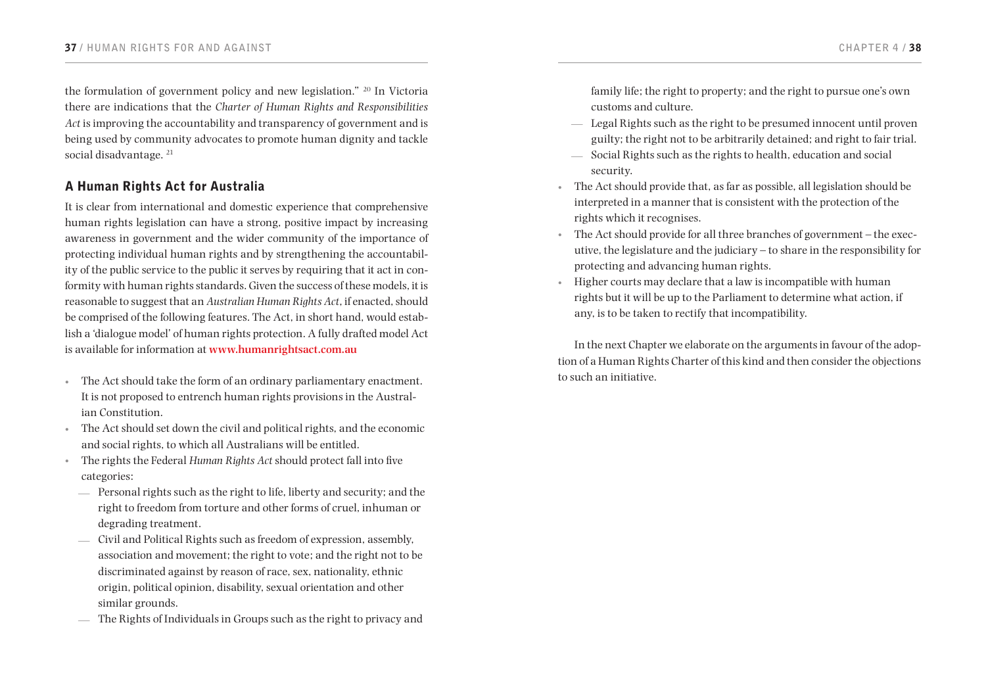the formulation of government policy and new legislation." <sup>20</sup> In Victoria there are indications that the *Charter of Human Rights and Responsibilities Act* is improving the accountability and transparency of government and is being used by community advocates to promote human dignity and tackle social disadvantage.<sup>21</sup>

# A Human Rights Act for Australia

It is clear from international and domestic experience that comprehensive human rights legislation can have a strong, positive impact by increasing awareness in government and the wider community of the importance of protecting individual human rights and by strengthening the accountability of the public service to the public it serves by requiring that it act in conformity with human rights standards. Given the success of these models, it is reasonable to suggest that an *Australian Human Rights Act*, if enacted, should be comprised of the following features. The Act, in short hand, would establish a 'dialogue model' of human rights protection. A fully drafted model Act is available for information at **<www.humanrightsact.com.au>**

- The Act should take the form of an ordinary parliamentary enactment. It is not proposed to entrench human rights provisions in the Australian Constitution.
- The Act should set down the civil and political rights, and the economic and social rights, to which all Australians will be entitled.
- • The rights the Federal *Human Rights Act* should protect fall into five categories:
	- Personal rights such as the right to life, liberty and security; and the right to freedom from torture and other forms of cruel, inhuman or degrading treatment.
	- Civil and Political Rights such as freedom of expression, assembly, association and movement; the right to vote; and the right not to be discriminated against by reason of race, sex, nationality, ethnic origin, political opinion, disability, sexual orientation and other similar grounds.
	- The Rights of Individuals in Groups such as the right to privacy and

family life; the right to property; and the right to pursue one's own customs and culture.

- Legal Rights such as the right to be presumed innocent until proven guilty; the right not to be arbitrarily detained; and right to fair trial.
- Social Rights such as the rights to health, education and social security.
- • The Act should provide that, as far as possible, all legislation should be interpreted in a manner that is consistent with the protection of the rights which it recognises.
- The Act should provide for all three branches of government the executive, the legislature and the judiciary – to share in the responsibility for protecting and advancing human rights.
- • Higher courts may declare that a law is incompatible with human rights but it will be up to the Parliament to determine what action, if any, is to be taken to rectify that incompatibility.

In the next Chapter we elaborate on the arguments in favour of the adoption of a Human Rights Charter of this kind and then consider the objections to such an initiative.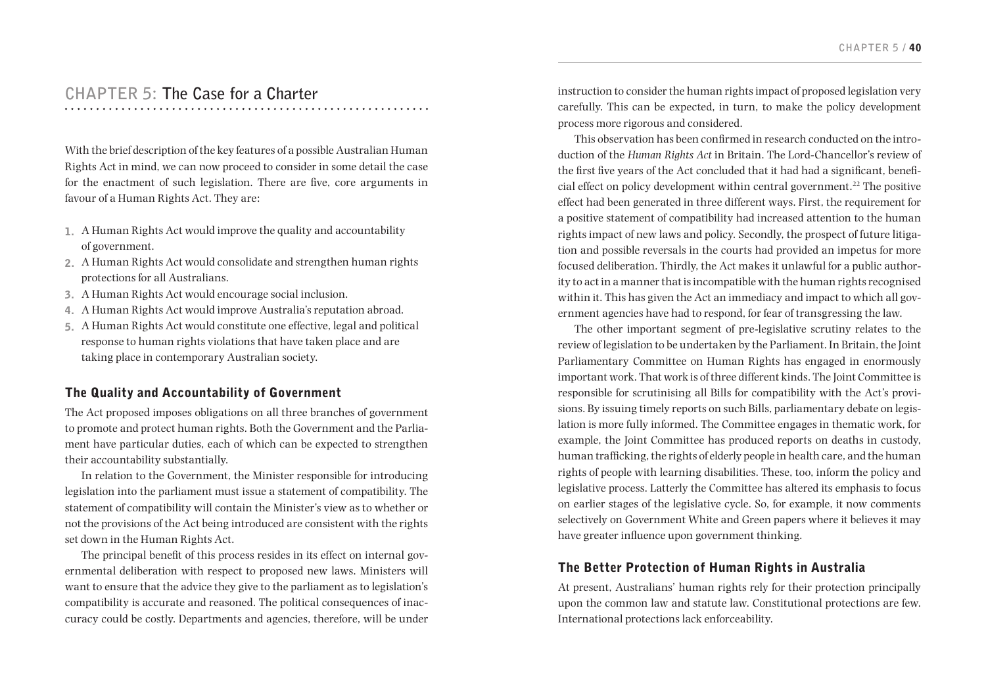# **CHAPTER 5: The Case for a Charter**

With the brief description of the key features of a possible Australian Human Rights Act in mind, we can now proceed to consider in some detail the case for the enactment of such legislation. There are five, core arguments in favour of a Human Rights Act. They are:

- 1. A Human Rights Act would improve the quality and accountability of government.
- 2. A Human Rights Act would consolidate and strengthen human rights protections for all Australians.
- 3. A Human Rights Act would encourage social inclusion.
- 4. A Human Rights Act would improve Australia's reputation abroad.
- 5. A Human Rights Act would constitute one effective, legal and political response to human rights violations that have taken place and are taking place in contemporary Australian society.

# The Quality and Accountability of Government

The Act proposed imposes obligations on all three branches of government to promote and protect human rights. Both the Government and the Parliament have particular duties, each of which can be expected to strengthen their accountability substantially.

In relation to the Government, the Minister responsible for introducing legislation into the parliament must issue a statement of compatibility. The statement of compatibility will contain the Minister's view as to whether or not the provisions of the Act being introduced are consistent with the rights set down in the Human Rights Act.

The principal benefit of this process resides in its effect on internal governmental deliberation with respect to proposed new laws. Ministers will want to ensure that the advice they give to the parliament as to legislation's compatibility is accurate and reasoned. The political consequences of inaccuracy could be costly. Departments and agencies, therefore, will be under instruction to consider the human rights impact of proposed legislation very carefully. This can be expected, in turn, to make the policy development process more rigorous and considered.

This observation has been confirmed in research conducted on the introduction of the *Human Rights Act* in Britain. The Lord-Chancellor's review of the first five years of the Act concluded that it had had a significant, beneficial effect on policy development within central government.<sup>22</sup> The positive effect had been generated in three different ways. First, the requirement for a positive statement of compatibility had increased attention to the human rights impact of new laws and policy. Secondly, the prospect of future litigation and possible reversals in the courts had provided an impetus for more focused deliberation. Thirdly, the Act makes it unlawful for a public authority to act in a manner that is incompatible with the human rights recognised within it. This has given the Act an immediacy and impact to which all government agencies have had to respond, for fear of transgressing the law.

The other important segment of pre-legislative scrutiny relates to the review of legislation to be undertaken by the Parliament. In Britain, the Joint Parliamentary Committee on Human Rights has engaged in enormously important work. That work is of three different kinds. The Joint Committee is responsible for scrutinising all Bills for compatibility with the Act's provisions. By issuing timely reports on such Bills, parliamentary debate on legislation is more fully informed. The Committee engages in thematic work, for example, the Joint Committee has produced reports on deaths in custody, human trafficking, the rights of elderly people in health care, and the human rights of people with learning disabilities. These, too, inform the policy and legislative process. Latterly the Committee has altered its emphasis to focus on earlier stages of the legislative cycle. So, for example, it now comments selectively on Government White and Green papers where it believes it may have greater influence upon government thinking.

# The Better Protection of Human Rights in Australia

At present, Australians' human rights rely for their protection principally upon the common law and statute law. Constitutional protections are few. International protections lack enforceability.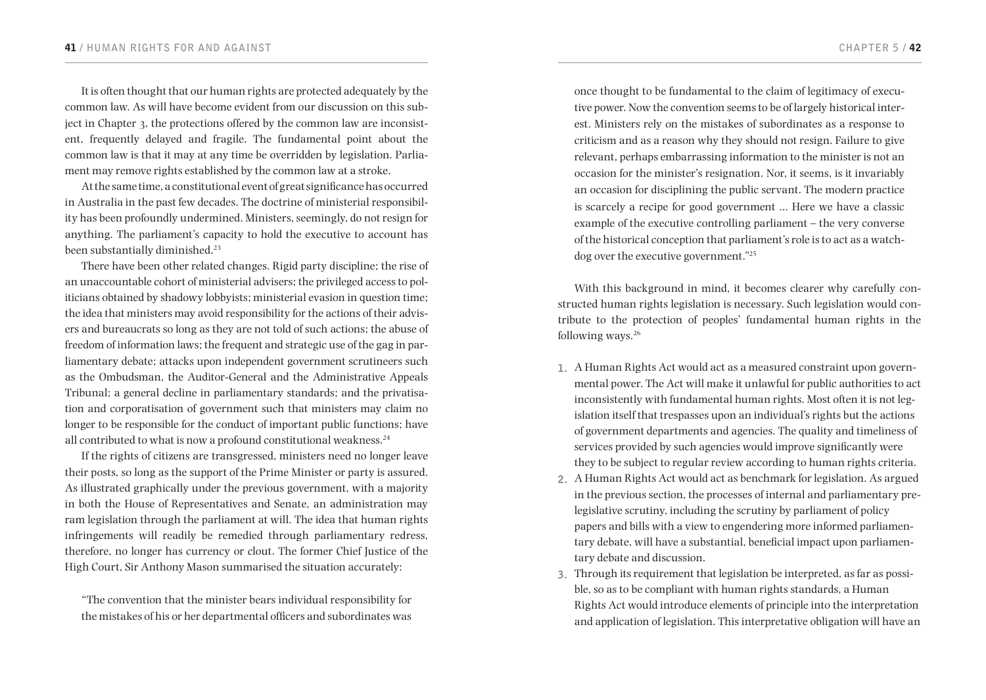It is often thought that our human rights are protected adequately by the common law. As will have become evident from our discussion on this subject in Chapter 3, the protections offered by the common law are inconsistent, frequently delayed and fragile. The fundamental point about the common law is that it may at any time be overridden by legislation. Parliament may remove rights established by the common law at a stroke.

At the same time, a constitutional event of great significance has occurred in Australia in the past few decades. The doctrine of ministerial responsibility has been profoundly undermined. Ministers, seemingly, do not resign for anything. The parliament's capacity to hold the executive to account has been substantially diminished.<sup>23</sup>

There have been other related changes. Rigid party discipline; the rise of an unaccountable cohort of ministerial advisers; the privileged access to politicians obtained by shadowy lobbyists; ministerial evasion in question time; the idea that ministers may avoid responsibility for the actions of their advisers and bureaucrats so long as they are not told of such actions; the abuse of freedom of information laws; the frequent and strategic use of the gag in parliamentary debate; attacks upon independent government scrutineers such as the Ombudsman, the Auditor-General and the Administrative Appeals Tribunal; a general decline in parliamentary standards; and the privatisation and corporatisation of government such that ministers may claim no longer to be responsible for the conduct of important public functions; have all contributed to what is now a profound constitutional weakness.<sup>24</sup>

If the rights of citizens are transgressed, ministers need no longer leave their posts, so long as the support of the Prime Minister or party is assured. As illustrated graphically under the previous government, with a majority in both the House of Representatives and Senate, an administration may ram legislation through the parliament at will. The idea that human rights infringements will readily be remedied through parliamentary redress, therefore, no longer has currency or clout. The former Chief Justice of the High Court, Sir Anthony Mason summarised the situation accurately:

"The convention that the minister bears individual responsibility for the mistakes of his or her departmental officers and subordinates was

once thought to be fundamental to the claim of legitimacy of executive power. Now the convention seems to be of largely historical interest. Ministers rely on the mistakes of subordinates as a response to criticism and as a reason why they should not resign. Failure to give relevant, perhaps embarrassing information to the minister is not an occasion for the minister's resignation. Nor, it seems, is it invariably an occasion for disciplining the public servant. The modern practice is scarcely a recipe for good government … Here we have a classic example of the executive controlling parliament – the very converse of the historical conception that parliament's role is to act as a watchdog over the executive government."<sup>25</sup>

With this background in mind, it becomes clearer why carefully constructed human rights legislation is necessary. Such legislation would contribute to the protection of peoples' fundamental human rights in the following ways.<sup>26</sup>

- 1. A Human Rights Act would act as a measured constraint upon governmental power. The Act will make it unlawful for public authorities to act inconsistently with fundamental human rights. Most often it is not legislation itself that trespasses upon an individual's rights but the actions of government departments and agencies. The quality and timeliness of services provided by such agencies would improve significantly were they to be subject to regular review according to human rights criteria.
- 2. A Human Rights Act would act as benchmark for legislation. As argued in the previous section, the processes of internal and parliamentary prelegislative scrutiny, including the scrutiny by parliament of policy papers and bills with a view to engendering more informed parliamentary debate, will have a substantial, beneficial impact upon parliamentary debate and discussion.
- 3. Through its requirement that legislation be interpreted, as far as possible, so as to be compliant with human rights standards, a Human Rights Act would introduce elements of principle into the interpretation and application of legislation. This interpretative obligation will have an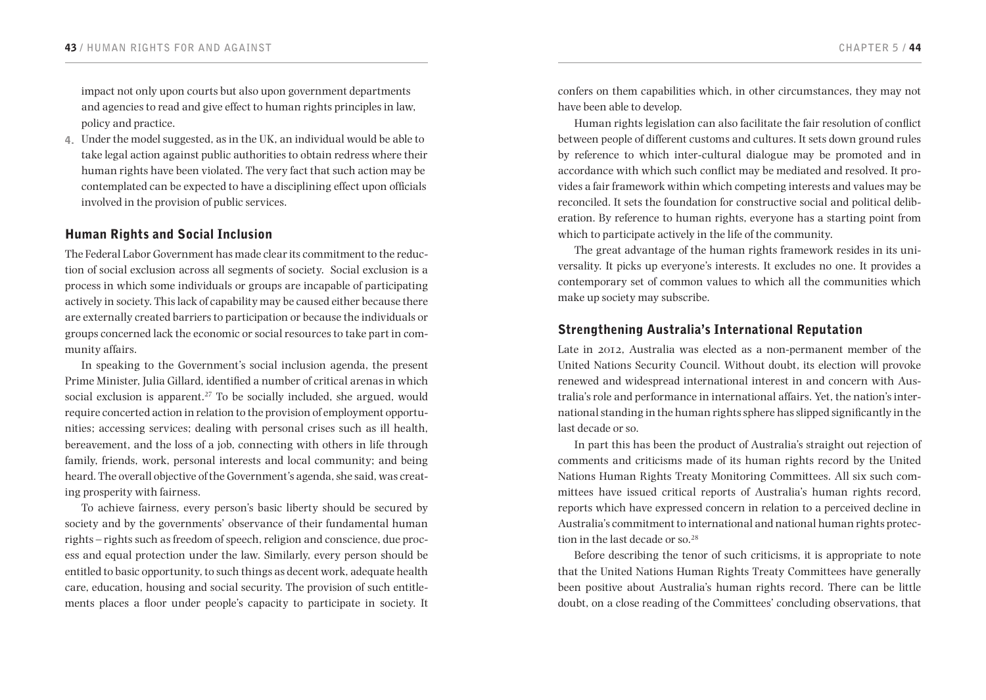impact not only upon courts but also upon government departments and agencies to read and give effect to human rights principles in law, policy and practice.

4. Under the model suggested, as in the UK, an individual would be able to take legal action against public authorities to obtain redress where their human rights have been violated. The very fact that such action may be contemplated can be expected to have a disciplining effect upon officials involved in the provision of public services.

### Human Rights and Social Inclusion

The Federal Labor Government has made clear its commitment to the reduction of social exclusion across all segments of society. Social exclusion is a process in which some individuals or groups are incapable of participating actively in society. This lack of capability may be caused either because there are externally created barriers to participation or because the individuals or groups concerned lack the economic or social resources to take part in community affairs.

In speaking to the Government's social inclusion agenda, the present Prime Minister, Julia Gillard, identified a number of critical arenas in which social exclusion is apparent.<sup>27</sup> To be socially included, she argued, would require concerted action in relation to the provision of employment opportunities; accessing services; dealing with personal crises such as ill health, bereavement, and the loss of a job, connecting with others in life through family, friends, work, personal interests and local community; and being heard. The overall objective of the Government's agenda, she said, was creating prosperity with fairness.

To achieve fairness, every person's basic liberty should be secured by society and by the governments' observance of their fundamental human rights – rights such as freedom of speech, religion and conscience, due process and equal protection under the law. Similarly, every person should be entitled to basic opportunity, to such things as decent work, adequate health care, education, housing and social security. The provision of such entitlements places a floor under people's capacity to participate in society. It

confers on them capabilities which, in other circumstances, they may not have been able to develop.

Human rights legislation can also facilitate the fair resolution of conflict between people of different customs and cultures. It sets down ground rules by reference to which inter-cultural dialogue may be promoted and in accordance with which such conflict may be mediated and resolved. It provides a fair framework within which competing interests and values may be reconciled. It sets the foundation for constructive social and political deliberation. By reference to human rights, everyone has a starting point from which to participate actively in the life of the community.

The great advantage of the human rights framework resides in its universality. It picks up everyone's interests. It excludes no one. It provides a contemporary set of common values to which all the communities which make up society may subscribe.

### Strengthening Australia's International Reputation

Late in 2012, Australia was elected as a non-permanent member of the United Nations Security Council. Without doubt, its election will provoke renewed and widespread international interest in and concern with Australia's role and performance in international affairs. Yet, the nation's international standing in the human rights sphere has slipped significantly in the last decade or so.

In part this has been the product of Australia's straight out rejection of comments and criticisms made of its human rights record by the United Nations Human Rights Treaty Monitoring Committees. All six such committees have issued critical reports of Australia's human rights record, reports which have expressed concern in relation to a perceived decline in Australia's commitment to international and national human rights protection in the last decade or so.<sup>28</sup>

Before describing the tenor of such criticisms, it is appropriate to note that the United Nations Human Rights Treaty Committees have generally been positive about Australia's human rights record. There can be little doubt, on a close reading of the Committees' concluding observations, that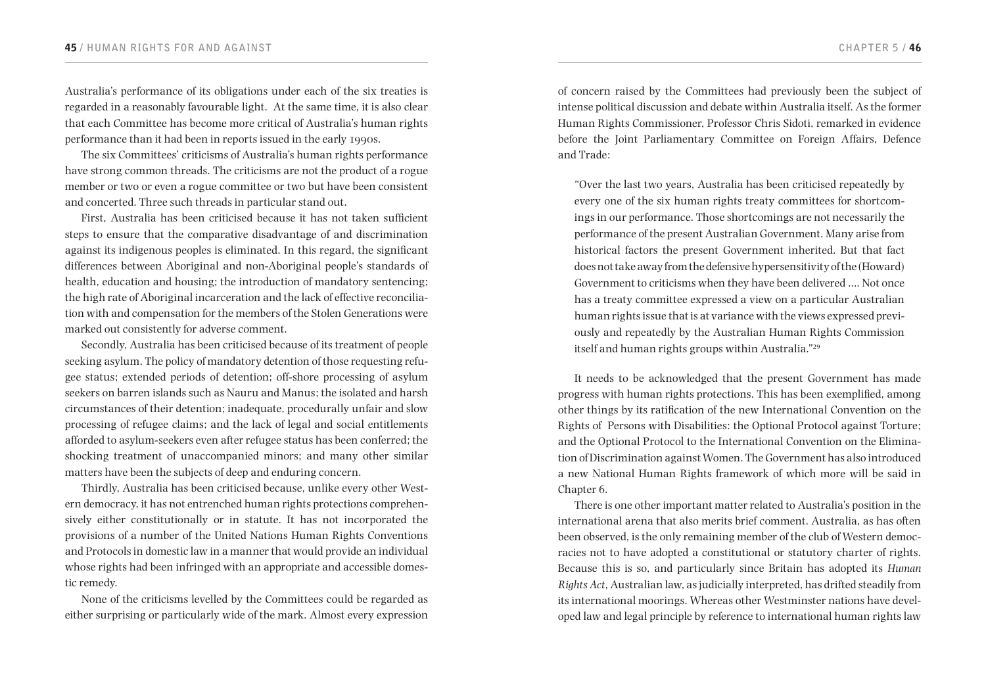Australia's performance of its obligations under each of the six treaties is regarded in a reasonably favourable light. At the same time, it is also clear that each Committee has become more critical of Australia's human rights performance than it had been in reports issued in the early 1990s.

The six Committees' criticisms of Australia's human rights performance have strong common threads. The criticisms are not the product of a rogue member or two or even a rogue committee or two but have been consistent and concerted. Three such threads in particular stand out.

First, Australia has been criticised because it has not taken sufficient steps to ensure that the comparative disadvantage of and discrimination against its indigenous peoples is eliminated. In this regard, the significant differences between Aboriginal and non-Aboriginal people's standards of health, education and housing; the introduction of mandatory sentencing; the high rate of Aboriginal incarceration and the lack of effective reconciliation with and compensation for the members of the Stolen Generations were marked out consistently for adverse comment.

Secondly, Australia has been criticised because of its treatment of people seeking asylum. The policy of mandatory detention of those requesting refugee status; extended periods of detention; off-shore processing of asylum seekers on barren islands such as Nauru and Manus; the isolated and harsh circumstances of their detention; inadequate, procedurally unfair and slow processing of refugee claims; and the lack of legal and social entitlements afforded to asylum-seekers even after refugee status has been conferred; the shocking treatment of unaccompanied minors; and many other similar matters have been the subjects of deep and enduring concern.

Thirdly, Australia has been criticised because, unlike every other Western democracy, it has not entrenched human rights protections comprehensively either constitutionally or in statute. It has not incorporated the provisions of a number of the United Nations Human Rights Conventions and Protocols in domestic law in a manner that would provide an individual whose rights had been infringed with an appropriate and accessible domestic remedy.

None of the criticisms levelled by the Committees could be regarded as either surprising or particularly wide of the mark. Almost every expression

of concern raised by the Committees had previously been the subject of intense political discussion and debate within Australia itself. As the former Human Rights Commissioner, Professor Chris Sidoti, remarked in evidence before the Joint Parliamentary Committee on Foreign Affairs, Defence and Trade:

"Over the last two years, Australia has been criticised repeatedly by every one of the six human rights treaty committees for shortcomings in our performance. Those shortcomings are not necessarily the performance of the present Australian Government. Many arise from historical factors the present Government inherited. But that fact does not take away from the defensive hypersensitivity of the (Howard) Government to criticisms when they have been delivered …. Not once has a treaty committee expressed a view on a particular Australian human rights issue that is at variance with the views expressed previously and repeatedly by the Australian Human Rights Commission itself and human rights groups within Australia."<sup>29</sup>

It needs to be acknowledged that the present Government has made progress with human rights protections. This has been exemplified, among other things by its ratification of the new International Convention on the Rights of Persons with Disabilities: the Optional Protocol against Torture; and the Optional Protocol to the International Convention on the Elimination of Discrimination against Women. The Government has also introduced a new National Human Rights framework of which more will be said in Chapter 6.

There is one other important matter related to Australia's position in the international arena that also merits brief comment. Australia, as has often been observed, is the only remaining member of the club of Western democracies not to have adopted a constitutional or statutory charter of rights. Because this is so, and particularly since Britain has adopted its *Human Rights Act*, Australian law, as judicially interpreted, has drifted steadily from its international moorings. Whereas other Westminster nations have developed law and legal principle by reference to international human rights law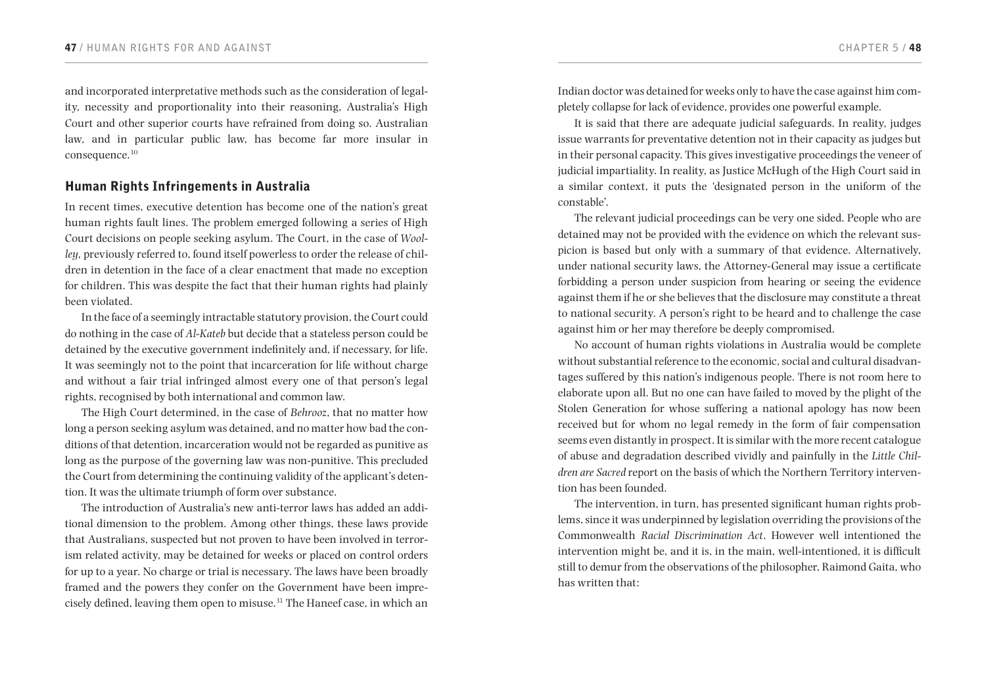and incorporated interpretative methods such as the consideration of legality, necessity and proportionality into their reasoning, Australia's High Court and other superior courts have refrained from doing so. Australian law, and in particular public law, has become far more insular in consequence.<sup>30</sup>

### Human Rights Infringements in Australia

In recent times, executive detention has become one of the nation's great human rights fault lines. The problem emerged following a series of High Court decisions on people seeking asylum. The Court, in the case of *Woolley,* previously referred to, found itself powerless to order the release of children in detention in the face of a clear enactment that made no exception for children. This was despite the fact that their human rights had plainly been violated.

In the face of a seemingly intractable statutory provision, the Court could do nothing in the case of *Al-Kateb* but decide that a stateless person could be detained by the executive government indefinitely and, if necessary, for life. It was seemingly not to the point that incarceration for life without charge and without a fair trial infringed almost every one of that person's legal rights, recognised by both international and common law.

The High Court determined, in the case of *Behrooz*, that no matter how long a person seeking asylum was detained, and no matter how bad the conditions of that detention, incarceration would not be regarded as punitive as long as the purpose of the governing law was non-punitive. This precluded the Court from determining the continuing validity of the applicant's detention. It was the ultimate triumph of form over substance.

The introduction of Australia's new anti-terror laws has added an additional dimension to the problem. Among other things, these laws provide that Australians, suspected but not proven to have been involved in terrorism related activity, may be detained for weeks or placed on control orders for up to a year. No charge or trial is necessary. The laws have been broadly framed and the powers they confer on the Government have been imprecisely defined, leaving them open to misuse.31 The Haneef case, in which an Indian doctor was detained for weeks only to have the case against him completely collapse for lack of evidence, provides one powerful example.

It is said that there are adequate judicial safeguards. In reality, judges issue warrants for preventative detention not in their capacity as judges but in their personal capacity. This gives investigative proceedings the veneer of judicial impartiality. In reality, as Justice McHugh of the High Court said in a similar context, it puts the 'designated person in the uniform of the constable'.

The relevant judicial proceedings can be very one sided. People who are detained may not be provided with the evidence on which the relevant suspicion is based but only with a summary of that evidence. Alternatively, under national security laws, the Attorney-General may issue a certificate forbidding a person under suspicion from hearing or seeing the evidence against them if he or she believes that the disclosure may constitute a threat to national security. A person's right to be heard and to challenge the case against him or her may therefore be deeply compromised.

No account of human rights violations in Australia would be complete without substantial reference to the economic, social and cultural disadvantages suffered by this nation's indigenous people. There is not room here to elaborate upon all. But no one can have failed to moved by the plight of the Stolen Generation for whose suffering a national apology has now been received but for whom no legal remedy in the form of fair compensation seems even distantly in prospect. It is similar with the more recent catalogue of abuse and degradation described vividly and painfully in the *Little Children are Sacred* report on the basis of which the Northern Territory intervention has been founded.

The intervention, in turn, has presented significant human rights problems, since it was underpinned by legislation overriding the provisions of the Commonwealth *Racial Discrimination Act*. However well intentioned the intervention might be, and it is, in the main, well-intentioned, it is difficult still to demur from the observations of the philosopher, Raimond Gaita, who has written that: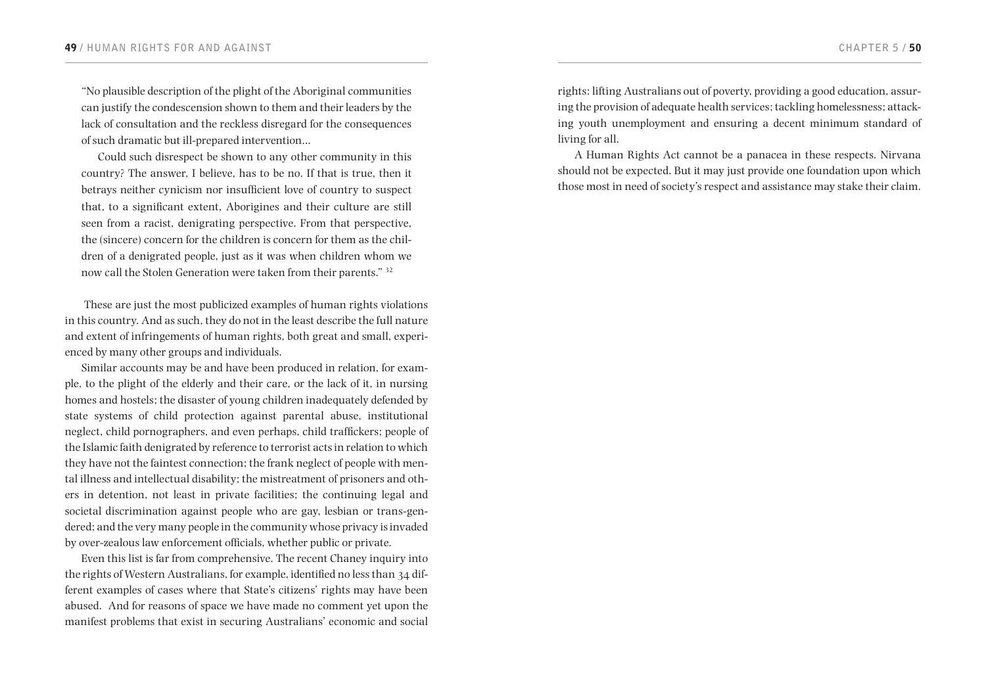"No plausible description of the plight of the Aboriginal communities can justify the condescension shown to them and their leaders by the lack of consultation and the reckless disregard for the consequences of such dramatic but ill-prepared intervention…

Could such disrespect be shown to any other community in this country? The answer, I believe, has to be no. If that is true, then it betrays neither cynicism nor insufficient love of country to suspect that, to a significant extent, Aborigines and their culture are still seen from a racist, denigrating perspective. From that perspective, the (sincere) concern for the children is concern for them as the children of a denigrated people, just as it was when children whom we now call the Stolen Generation were taken from their parents." <sup>32</sup>

 These are just the most publicized examples of human rights violations in this country. And as such, they do not in the least describe the full nature and extent of infringements of human rights, both great and small, experienced by many other groups and individuals.

Similar accounts may be and have been produced in relation, for example, to the plight of the elderly and their care, or the lack of it, in nursing homes and hostels; the disaster of young children inadequately defended by state systems of child protection against parental abuse, institutional neglect, child pornographers, and even perhaps, child traffickers; people of the Islamic faith denigrated by reference to terrorist acts in relation to which they have not the faintest connection; the frank neglect of people with mental illness and intellectual disability; the mistreatment of prisoners and others in detention, not least in private facilities; the continuing legal and societal discrimination against people who are gay, lesbian or trans-gendered; and the very many people in the community whose privacy is invaded by over-zealous law enforcement officials, whether public or private.

Even this list is far from comprehensive. The recent Chaney inquiry into the rights of Western Australians, for example, identified no less than 34 different examples of cases where that State's citizens' rights may have been abused. And for reasons of space we have made no comment yet upon the manifest problems that exist in securing Australians' economic and social

rights: lifting Australians out of poverty, providing a good education, assuring the provision of adequate health services; tackling homelessness; attacking youth unemployment and ensuring a decent minimum standard of living for all.

A Human Rights Act cannot be a panacea in these respects. Nirvana should not be expected. But it may just provide one foundation upon which those most in need of society's respect and assistance may stake their claim.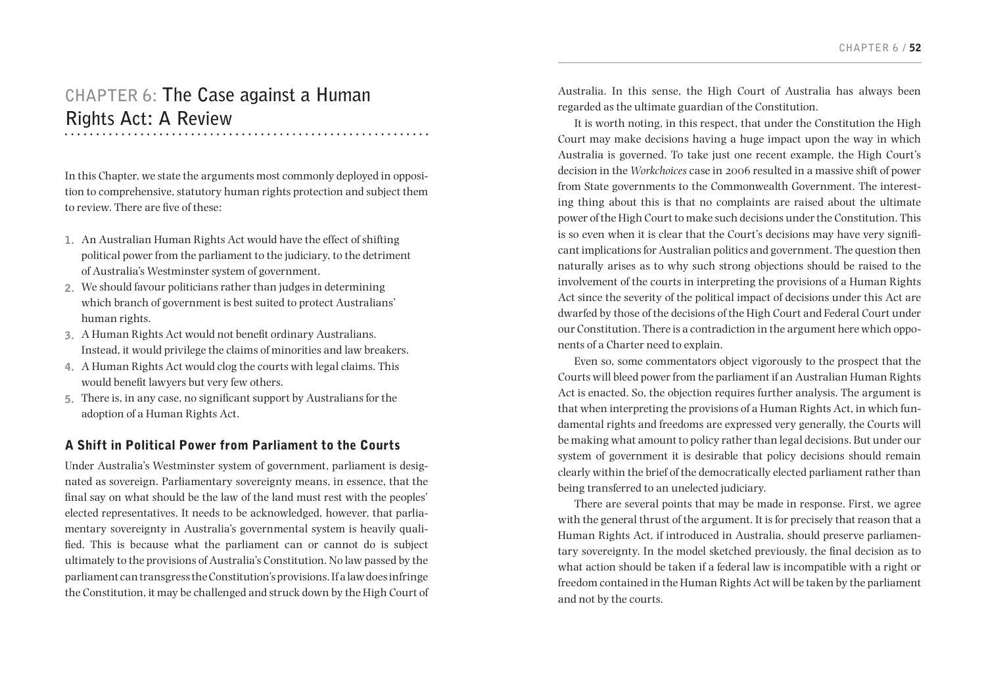# **CHAPTER 6: The Case against a Human Rights Act: A Review**

In this Chapter, we state the arguments most commonly deployed in opposition to comprehensive, statutory human rights protection and subject them to review. There are five of these:

- 1. An Australian Human Rights Act would have the effect of shifting political power from the parliament to the judiciary, to the detriment of Australia's Westminster system of government.
- 2. We should favour politicians rather than judges in determining which branch of government is best suited to protect Australians' human rights.
- 3. A Human Rights Act would not benefit ordinary Australians. Instead, it would privilege the claims of minorities and law breakers.
- 4. A Human Rights Act would clog the courts with legal claims. This would benefit lawyers but very few others.
- 5. There is, in any case, no significant support by Australians for the adoption of a Human Rights Act.

# A Shift in Political Power from Parliament to the Courts

Under Australia's Westminster system of government, parliament is designated as sovereign. Parliamentary sovereignty means, in essence, that the final say on what should be the law of the land must rest with the peoples' elected representatives. It needs to be acknowledged, however, that parliamentary sovereignty in Australia's governmental system is heavily qualified. This is because what the parliament can or cannot do is subject ultimately to the provisions of Australia's Constitution. No law passed by the parliament can transgress the Constitution's provisions. If a law does infringe the Constitution, it may be challenged and struck down by the High Court of

Australia. In this sense, the High Court of Australia has always been regarded as the ultimate guardian of the Constitution.

It is worth noting, in this respect, that under the Constitution the High Court may make decisions having a huge impact upon the way in which Australia is governed. To take just one recent example, the High Court's decision in the *Workchoices* case in 2006 resulted in a massive shift of power from State governments to the Commonwealth Government. The interesting thing about this is that no complaints are raised about the ultimate power of the High Court to make such decisions under the Constitution. This is so even when it is clear that the Court's decisions may have very significant implications for Australian politics and government. The question then naturally arises as to why such strong objections should be raised to the involvement of the courts in interpreting the provisions of a Human Rights Act since the severity of the political impact of decisions under this Act are dwarfed by those of the decisions of the High Court and Federal Court under our Constitution. There is a contradiction in the argument here which opponents of a Charter need to explain.

Even so, some commentators object vigorously to the prospect that the Courts will bleed power from the parliament if an Australian Human Rights Act is enacted. So, the objection requires further analysis. The argument is that when interpreting the provisions of a Human Rights Act, in which fundamental rights and freedoms are expressed very generally, the Courts will be making what amount to policy rather than legal decisions. But under our system of government it is desirable that policy decisions should remain clearly within the brief of the democratically elected parliament rather than being transferred to an unelected judiciary.

There are several points that may be made in response. First, we agree with the general thrust of the argument. It is for precisely that reason that a Human Rights Act, if introduced in Australia, should preserve parliamentary sovereignty. In the model sketched previously, the final decision as to what action should be taken if a federal law is incompatible with a right or freedom contained in the Human Rights Act will be taken by the parliament and not by the courts.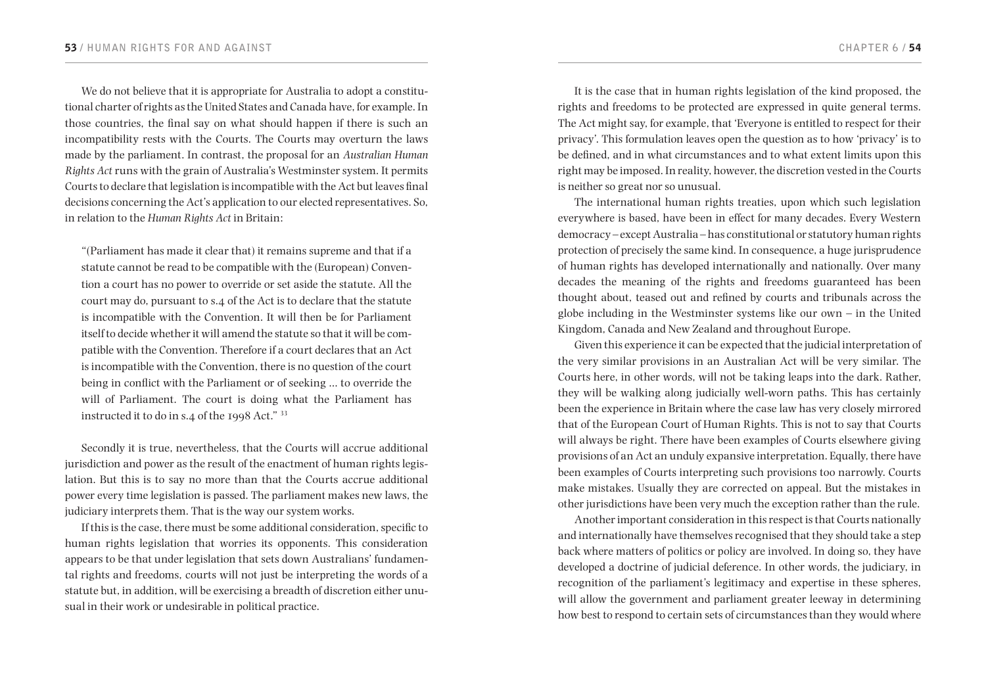We do not believe that it is appropriate for Australia to adopt a constitutional charter of rights as the United States and Canada have, for example. In those countries, the final say on what should happen if there is such an incompatibility rests with the Courts. The Courts may overturn the laws made by the parliament. In contrast, the proposal for an *Australian Human Rights Act* runs with the grain of Australia's Westminster system. It permits Courts to declare that legislation is incompatible with the Act but leaves final decisions concerning the Act's application to our elected representatives. So, in relation to the *Human Rights Act* in Britain:

"(Parliament has made it clear that) it remains supreme and that if a statute cannot be read to be compatible with the (European) Convention a court has no power to override or set aside the statute. All the court may do, pursuant to s.4 of the Act is to declare that the statute is incompatible with the Convention. It will then be for Parliament itself to decide whether it will amend the statute so that it will be compatible with the Convention. Therefore if a court declares that an Act is incompatible with the Convention, there is no question of the court being in conflict with the Parliament or of seeking … to override the will of Parliament. The court is doing what the Parliament has instructed it to do in s.4 of the 1998 Act." <sup>33</sup>

Secondly it is true, nevertheless, that the Courts will accrue additional jurisdiction and power as the result of the enactment of human rights legislation. But this is to say no more than that the Courts accrue additional power every time legislation is passed. The parliament makes new laws, the judiciary interprets them. That is the way our system works.

If this is the case, there must be some additional consideration, specific to human rights legislation that worries its opponents. This consideration appears to be that under legislation that sets down Australians' fundamental rights and freedoms, courts will not just be interpreting the words of a statute but, in addition, will be exercising a breadth of discretion either unusual in their work or undesirable in political practice.

It is the case that in human rights legislation of the kind proposed, the rights and freedoms to be protected are expressed in quite general terms. The Act might say, for example, that 'Everyone is entitled to respect for their privacy'. This formulation leaves open the question as to how 'privacy' is to be defined, and in what circumstances and to what extent limits upon this right may be imposed. In reality, however, the discretion vested in the Courts is neither so great nor so unusual.

The international human rights treaties, upon which such legislation everywhere is based, have been in effect for many decades. Every Western democracy – except Australia – has constitutional or statutory human rights protection of precisely the same kind. In consequence, a huge jurisprudence of human rights has developed internationally and nationally. Over many decades the meaning of the rights and freedoms guaranteed has been thought about, teased out and refined by courts and tribunals across the globe including in the Westminster systems like our own – in the United Kingdom, Canada and New Zealand and throughout Europe.

Given this experience it can be expected that the judicial interpretation of the very similar provisions in an Australian Act will be very similar. The Courts here, in other words, will not be taking leaps into the dark. Rather, they will be walking along judicially well-worn paths. This has certainly been the experience in Britain where the case law has very closely mirrored that of the European Court of Human Rights. This is not to say that Courts will always be right. There have been examples of Courts elsewhere giving provisions of an Act an unduly expansive interpretation. Equally, there have been examples of Courts interpreting such provisions too narrowly. Courts make mistakes. Usually they are corrected on appeal. But the mistakes in other jurisdictions have been very much the exception rather than the rule.

Another important consideration in this respect is that Courts nationally and internationally have themselves recognised that they should take a step back where matters of politics or policy are involved. In doing so, they have developed a doctrine of judicial deference. In other words, the judiciary, in recognition of the parliament's legitimacy and expertise in these spheres, will allow the government and parliament greater leeway in determining how best to respond to certain sets of circumstances than they would where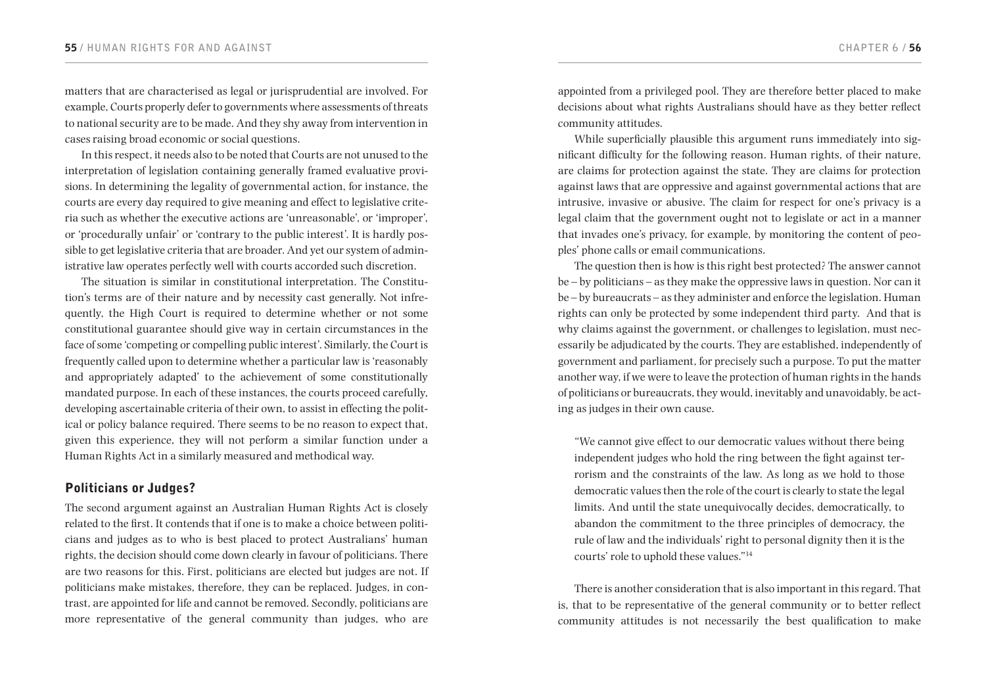matters that are characterised as legal or jurisprudential are involved. For example, Courts properly defer to governments where assessments of threats to national security are to be made. And they shy away from intervention in cases raising broad economic or social questions.

In this respect, it needs also to be noted that Courts are not unused to the interpretation of legislation containing generally framed evaluative provisions. In determining the legality of governmental action, for instance, the courts are every day required to give meaning and effect to legislative criteria such as whether the executive actions are 'unreasonable', or 'improper', or 'procedurally unfair' or 'contrary to the public interest'. It is hardly possible to get legislative criteria that are broader. And yet our system of administrative law operates perfectly well with courts accorded such discretion.

The situation is similar in constitutional interpretation. The Constitution's terms are of their nature and by necessity cast generally. Not infrequently, the High Court is required to determine whether or not some constitutional guarantee should give way in certain circumstances in the face of some 'competing or compelling public interest'. Similarly, the Court is frequently called upon to determine whether a particular law is 'reasonably and appropriately adapted' to the achievement of some constitutionally mandated purpose. In each of these instances, the courts proceed carefully, developing ascertainable criteria of their own, to assist in effecting the political or policy balance required. There seems to be no reason to expect that, given this experience, they will not perform a similar function under a Human Rights Act in a similarly measured and methodical way.

### Politicians or Judges?

The second argument against an Australian Human Rights Act is closely related to the first. It contends that if one is to make a choice between politicians and judges as to who is best placed to protect Australians' human rights, the decision should come down clearly in favour of politicians. There are two reasons for this. First, politicians are elected but judges are not. If politicians make mistakes, therefore, they can be replaced. Judges, in contrast, are appointed for life and cannot be removed. Secondly, politicians are more representative of the general community than judges, who are appointed from a privileged pool. They are therefore better placed to make decisions about what rights Australians should have as they better reflect community attitudes.

While superficially plausible this argument runs immediately into significant difficulty for the following reason. Human rights, of their nature, are claims for protection against the state. They are claims for protection against laws that are oppressive and against governmental actions that are intrusive, invasive or abusive. The claim for respect for one's privacy is a legal claim that the government ought not to legislate or act in a manner that invades one's privacy, for example, by monitoring the content of peoples' phone calls or email communications.

The question then is how is this right best protected? The answer cannot be – by politicians – as they make the oppressive laws in question. Nor can it be – by bureaucrats – as they administer and enforce the legislation. Human rights can only be protected by some independent third party. And that is why claims against the government, or challenges to legislation, must necessarily be adjudicated by the courts. They are established, independently of government and parliament, for precisely such a purpose. To put the matter another way, if we were to leave the protection of human rights in the hands of politicians or bureaucrats, they would, inevitably and unavoidably, be acting as judges in their own cause.

"We cannot give effect to our democratic values without there being independent judges who hold the ring between the fight against terrorism and the constraints of the law. As long as we hold to those democratic values then the role of the court is clearly to state the legal limits. And until the state unequivocally decides, democratically, to abandon the commitment to the three principles of democracy, the rule of law and the individuals' right to personal dignity then it is the courts' role to uphold these values."<sup>34</sup>

There is another consideration that is also important in this regard. That is, that to be representative of the general community or to better reflect community attitudes is not necessarily the best qualification to make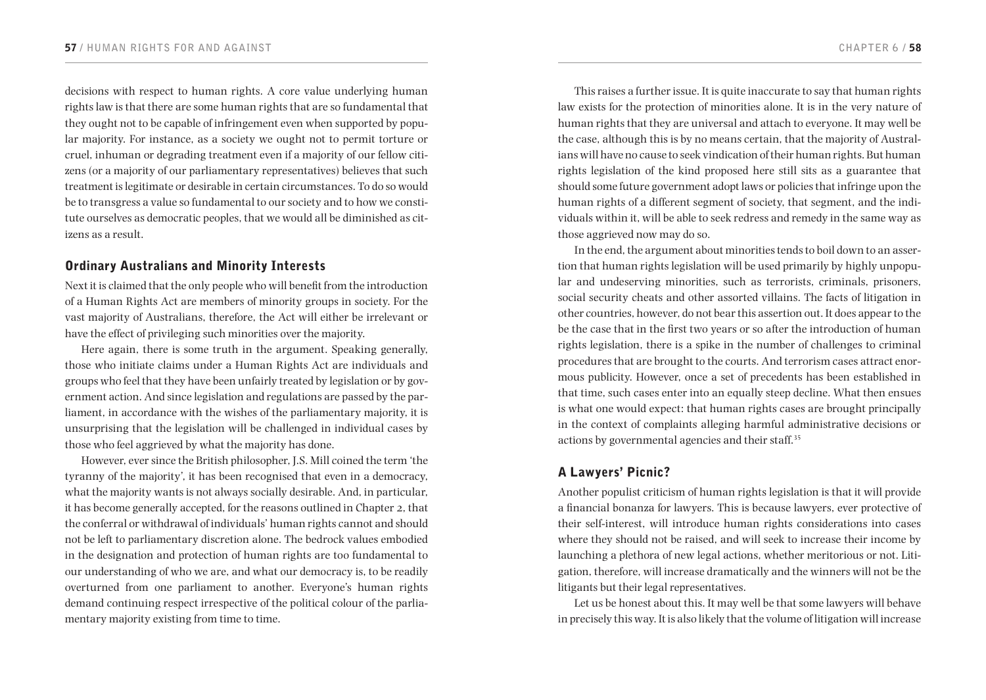decisions with respect to human rights. A core value underlying human rights law is that there are some human rights that are so fundamental that they ought not to be capable of infringement even when supported by popular majority. For instance, as a society we ought not to permit torture or cruel, inhuman or degrading treatment even if a majority of our fellow citizens (or a majority of our parliamentary representatives) believes that such treatment is legitimate or desirable in certain circumstances. To do so would be to transgress a value so fundamental to our society and to how we constitute ourselves as democratic peoples, that we would all be diminished as citizens as a result.

# Ordinary Australians and Minority Interests

Next it is claimed that the only people who will benefit from the introduction of a Human Rights Act are members of minority groups in society. For the vast majority of Australians, therefore, the Act will either be irrelevant or have the effect of privileging such minorities over the majority.

Here again, there is some truth in the argument. Speaking generally, those who initiate claims under a Human Rights Act are individuals and groups who feel that they have been unfairly treated by legislation or by government action. And since legislation and regulations are passed by the parliament, in accordance with the wishes of the parliamentary majority, it is unsurprising that the legislation will be challenged in individual cases by those who feel aggrieved by what the majority has done.

However, ever since the British philosopher, J.S. Mill coined the term 'the tyranny of the majority', it has been recognised that even in a democracy, what the majority wants is not always socially desirable. And, in particular, it has become generally accepted, for the reasons outlined in Chapter 2, that the conferral or withdrawal of individuals' human rights cannot and should not be left to parliamentary discretion alone. The bedrock values embodied in the designation and protection of human rights are too fundamental to our understanding of who we are, and what our democracy is, to be readily overturned from one parliament to another. Everyone's human rights demand continuing respect irrespective of the political colour of the parliamentary majority existing from time to time.

This raises a further issue. It is quite inaccurate to say that human rights law exists for the protection of minorities alone. It is in the very nature of human rights that they are universal and attach to everyone. It may well be the case, although this is by no means certain, that the majority of Australians will have no cause to seek vindication of their human rights. But human rights legislation of the kind proposed here still sits as a guarantee that should some future government adopt laws or policies that infringe upon the human rights of a different segment of society, that segment, and the individuals within it, will be able to seek redress and remedy in the same way as those aggrieved now may do so.

In the end, the argument about minorities tends to boil down to an assertion that human rights legislation will be used primarily by highly unpopular and undeserving minorities, such as terrorists, criminals, prisoners, social security cheats and other assorted villains. The facts of litigation in other countries, however, do not bear this assertion out. It does appear to the be the case that in the first two years or so after the introduction of human rights legislation, there is a spike in the number of challenges to criminal procedures that are brought to the courts. And terrorism cases attract enormous publicity. However, once a set of precedents has been established in that time, such cases enter into an equally steep decline. What then ensues is what one would expect: that human rights cases are brought principally in the context of complaints alleging harmful administrative decisions or actions by governmental agencies and their staff.<sup>35</sup>

# A Lawyers' Picnic?

Another populist criticism of human rights legislation is that it will provide a financial bonanza for lawyers. This is because lawyers, ever protective of their self-interest, will introduce human rights considerations into cases where they should not be raised, and will seek to increase their income by launching a plethora of new legal actions, whether meritorious or not. Litigation, therefore, will increase dramatically and the winners will not be the litigants but their legal representatives.

Let us be honest about this. It may well be that some lawyers will behave in precisely this way. It is also likely that the volume of litigation will increase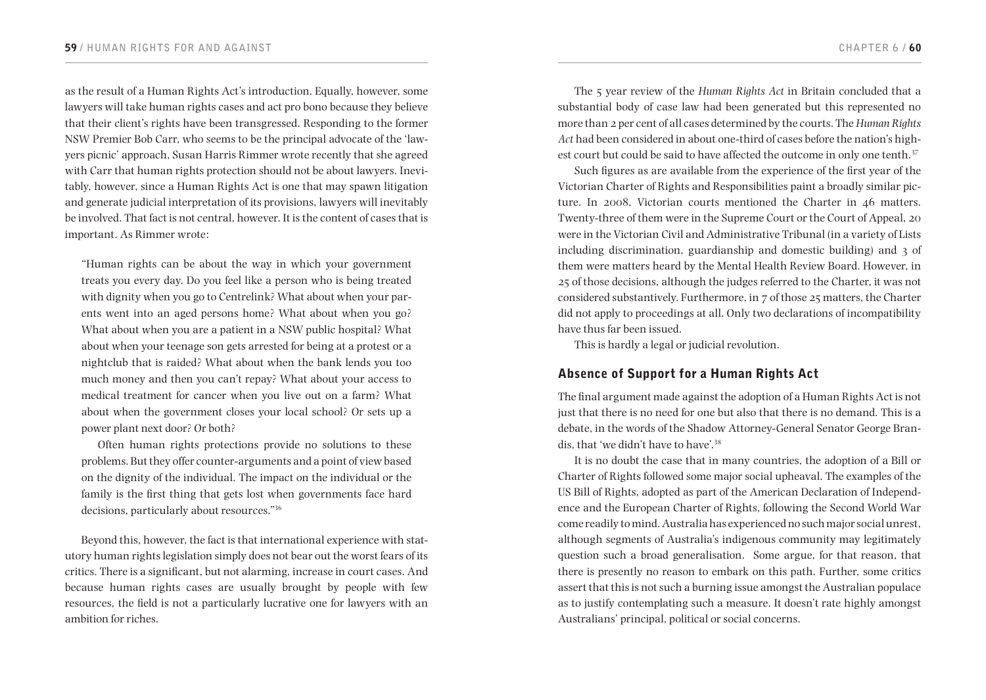as the result of a Human Rights Act's introduction. Equally, however, some lawyers will take human rights cases and act pro bono because they believe that their client's rights have been transgressed. Responding to the former NSW Premier Bob Carr, who seems to be the principal advocate of the 'lawyers picnic' approach, Susan Harris Rimmer wrote recently that she agreed with Carr that human rights protection should not be about lawyers. Inevitably, however, since a Human Rights Act is one that may spawn litigation and generate judicial interpretation of its provisions, lawyers will inevitably be involved. That fact is not central, however. It is the content of cases that is important. As Rimmer wrote:

"Human rights can be about the way in which your government treats you every day. Do you feel like a person who is being treated with dignity when you go to Centrelink? What about when your parents went into an aged persons home? What about when you go? What about when you are a patient in a NSW public hospital? What about when your teenage son gets arrested for being at a protest or a nightclub that is raided? What about when the bank lends you too much money and then you can't repay? What about your access to medical treatment for cancer when you live out on a farm? What about when the government closes your local school? Or sets up a power plant next door? Or both?

Often human rights protections provide no solutions to these problems. But they offer counter-arguments and a point of view based on the dignity of the individual. The impact on the individual or the family is the first thing that gets lost when governments face hard decisions, particularly about resources."<sup>36</sup>

Beyond this, however, the fact is that international experience with statutory human rights legislation simply does not bear out the worst fears of its critics. There is a significant, but not alarming, increase in court cases. And because human rights cases are usually brought by people with few resources, the field is not a particularly lucrative one for lawyers with an ambition for riches.

The 5 year review of the *Human Rights Act* in Britain concluded that a substantial body of case law had been generated but this represented no more than 2 per cent of all cases determined by the courts. The *Human Rights Act* had been considered in about one-third of cases before the nation's highest court but could be said to have affected the outcome in only one tenth.<sup>37</sup>

Such figures as are available from the experience of the first year of the Victorian Charter of Rights and Responsibilities paint a broadly similar picture. In 2008, Victorian courts mentioned the Charter in 46 matters. Twenty-three of them were in the Supreme Court or the Court of Appeal, 20 were in the Victorian Civil and Administrative Tribunal (in a variety of Lists including discrimination, guardianship and domestic building) and 3 of them were matters heard by the Mental Health Review Board. However, in 25 of those decisions, although the judges referred to the Charter, it was not considered substantively. Furthermore, in 7 of those 25 matters, the Charter did not apply to proceedings at all. Only two declarations of incompatibility have thus far been issued.

This is hardly a legal or judicial revolution.

# Absence of Support for a Human Rights Act

The final argument made against the adoption of a Human Rights Act is not just that there is no need for one but also that there is no demand. This is a debate, in the words of the Shadow Attorney-General Senator George Brandis, that 'we didn't have to have'.<sup>38</sup>

It is no doubt the case that in many countries, the adoption of a Bill or Charter of Rights followed some major social upheaval. The examples of the US Bill of Rights, adopted as part of the American Declaration of Independence and the European Charter of Rights, following the Second World War come readily to mind. Australia has experienced no such major social unrest, although segments of Australia's indigenous community may legitimately question such a broad generalisation. Some argue, for that reason, that there is presently no reason to embark on this path. Further, some critics assert that this is not such a burning issue amongst the Australian populace as to justify contemplating such a measure. It doesn't rate highly amongst Australians' principal, political or social concerns.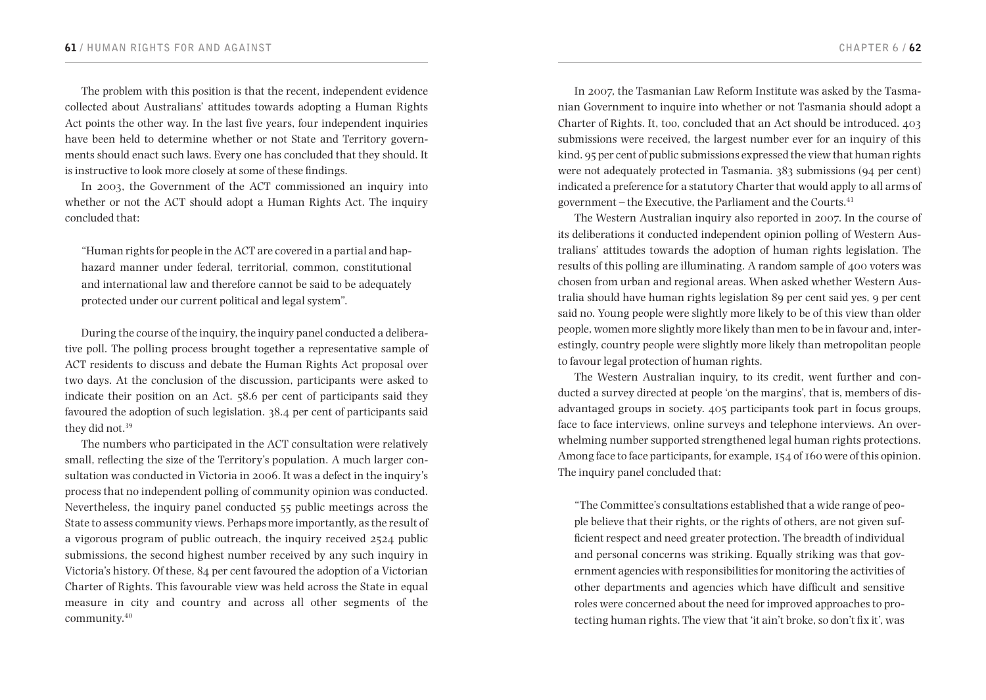The problem with this position is that the recent, independent evidence collected about Australians' attitudes towards adopting a Human Rights Act points the other way. In the last five years, four independent inquiries have been held to determine whether or not State and Territory governments should enact such laws. Every one has concluded that they should. It is instructive to look more closely at some of these findings.

In 2003, the Government of the ACT commissioned an inquiry into whether or not the ACT should adopt a Human Rights Act. The inquiry concluded that:

"Human rights for people in the ACT are covered in a partial and haphazard manner under federal, territorial, common, constitutional and international law and therefore cannot be said to be adequately protected under our current political and legal system".

During the course of the inquiry, the inquiry panel conducted a deliberative poll. The polling process brought together a representative sample of ACT residents to discuss and debate the Human Rights Act proposal over two days. At the conclusion of the discussion, participants were asked to indicate their position on an Act. 58.6 per cent of participants said they favoured the adoption of such legislation. 38.4 per cent of participants said they did not.<sup>39</sup>

The numbers who participated in the ACT consultation were relatively small, reflecting the size of the Territory's population. A much larger consultation was conducted in Victoria in 2006. It was a defect in the inquiry's process that no independent polling of community opinion was conducted. Nevertheless, the inquiry panel conducted 55 public meetings across the State to assess community views. Perhaps more importantly, as the result of a vigorous program of public outreach, the inquiry received 2524 public submissions, the second highest number received by any such inquiry in Victoria's history. Of these, 84 per cent favoured the adoption of a Victorian Charter of Rights. This favourable view was held across the State in equal measure in city and country and across all other segments of the community.40

In 2007, the Tasmanian Law Reform Institute was asked by the Tasmanian Government to inquire into whether or not Tasmania should adopt a Charter of Rights. It, too, concluded that an Act should be introduced. 403 submissions were received, the largest number ever for an inquiry of this kind. 95 per cent of public submissions expressed the view that human rights were not adequately protected in Tasmania. 383 submissions (94 per cent) indicated a preference for a statutory Charter that would apply to all arms of government – the Executive, the Parliament and the Courts. $41$ 

The Western Australian inquiry also reported in 2007. In the course of its deliberations it conducted independent opinion polling of Western Australians' attitudes towards the adoption of human rights legislation. The results of this polling are illuminating. A random sample of 400 voters was chosen from urban and regional areas. When asked whether Western Australia should have human rights legislation 89 per cent said yes, 9 per cent said no. Young people were slightly more likely to be of this view than older people, women more slightly more likely than men to be in favour and, interestingly, country people were slightly more likely than metropolitan people to favour legal protection of human rights.

The Western Australian inquiry, to its credit, went further and conducted a survey directed at people 'on the margins', that is, members of disadvantaged groups in society. 405 participants took part in focus groups, face to face interviews, online surveys and telephone interviews. An overwhelming number supported strengthened legal human rights protections. Among face to face participants, for example, 154 of 160 were of this opinion. The inquiry panel concluded that:

"The Committee's consultations established that a wide range of people believe that their rights, or the rights of others, are not given sufficient respect and need greater protection. The breadth of individual and personal concerns was striking. Equally striking was that government agencies with responsibilities for monitoring the activities of other departments and agencies which have difficult and sensitive roles were concerned about the need for improved approaches to protecting human rights. The view that 'it ain't broke, so don't fix it', was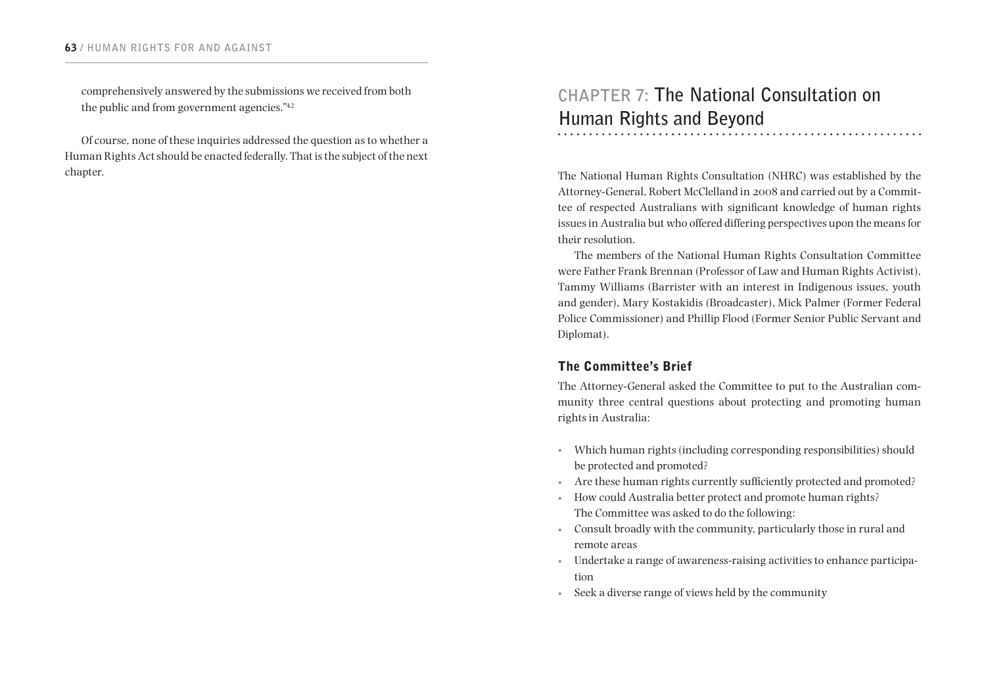comprehensively answered by the submissions we received from both the public and from government agencies."<sup>42</sup>

Of course, none of these inquiries addressed the question as to whether a Human Rights Act should be enacted federally. That is the subject of the next chapter.

# **CHAPTER 7: The National Consultation on Human Rights and Beyond**

The National Human Rights Consultation (NHRC) was established by the Attorney-General, Robert McClelland in 2008 and carried out by a Committee of respected Australians with significant knowledge of human rights issues in Australia but who offered differing perspectives upon the means for their resolution.

The members of the National Human Rights Consultation Committee were Father Frank Brennan (Professor of Law and Human Rights Activist), Tammy Williams (Barrister with an interest in Indigenous issues, youth and gender), Mary Kostakidis (Broadcaster), Mick Palmer (Former Federal Police Commissioner) and Phillip Flood (Former Senior Public Servant and Diplomat).

# The Committee's Brief

The Attorney-General asked the Committee to put to the Australian community three central questions about protecting and promoting human rights in Australia:

- • Which human rights (including corresponding responsibilities) should be protected and promoted?
- • Are these human rights currently sufficiently protected and promoted?
- • How could Australia better protect and promote human rights? The Committee was asked to do the following:
- • Consult broadly with the community, particularly those in rural and remote areas
- • Undertake a range of awareness-raising activities to enhance participation
- • Seek a diverse range of views held by the community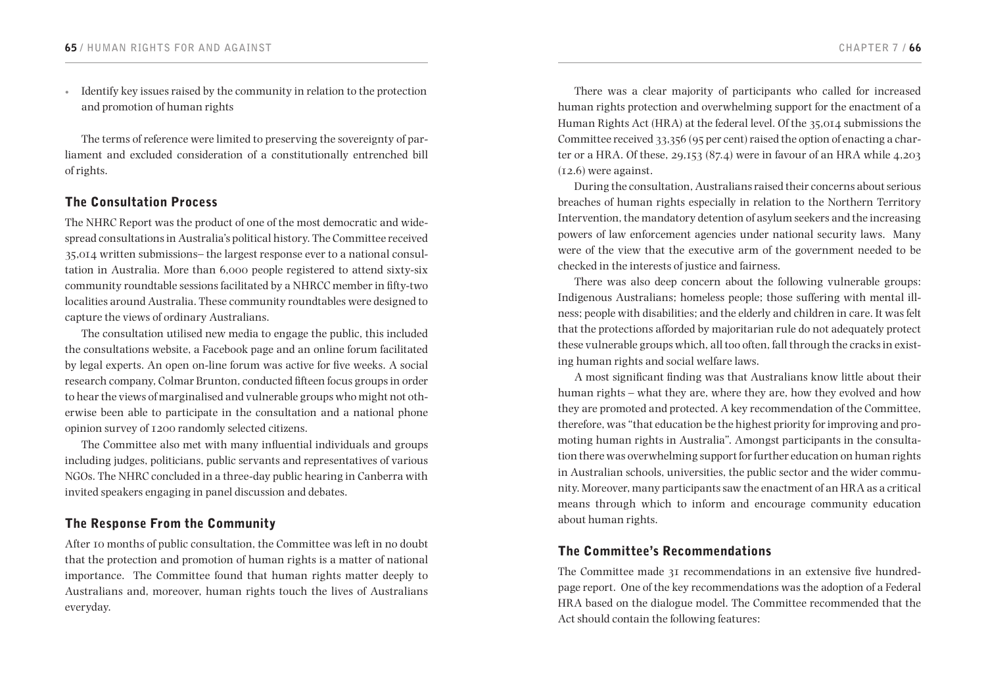• Identify key issues raised by the community in relation to the protection and promotion of human rights

The terms of reference were limited to preserving the sovereignty of parliament and excluded consideration of a constitutionally entrenched bill of rights.

# The Consultation Process

The NHRC Report was the product of one of the most democratic and widespread consultations in Australia's political history. The Committee received 35,014 written submissions– the largest response ever to a national consultation in Australia. More than 6,000 people registered to attend sixty-six community roundtable sessions facilitated by a NHRCC member in fifty-two localities around Australia. These community roundtables were designed to capture the views of ordinary Australians.

The consultation utilised new media to engage the public, this included the consultations website, a Facebook page and an online forum facilitated by legal experts. An open on-line forum was active for five weeks. A social research company, Colmar Brunton, conducted fifteen focus groups in order to hear the views of marginalised and vulnerable groups who might not otherwise been able to participate in the consultation and a national phone opinion survey of 1200 randomly selected citizens.

The Committee also met with many influential individuals and groups including judges, politicians, public servants and representatives of various NGOs. The NHRC concluded in a three-day public hearing in Canberra with invited speakers engaging in panel discussion and debates.

# The Response From the Community

After 10 months of public consultation, the Committee was left in no doubt that the protection and promotion of human rights is a matter of national importance. The Committee found that human rights matter deeply to Australians and, moreover, human rights touch the lives of Australians everyday.

There was a clear majority of participants who called for increased human rights protection and overwhelming support for the enactment of a Human Rights Act (HRA) at the federal level. Of the 35,014 submissions the Committee received 33,356 (95 per cent) raised the option of enacting a charter or a HRA. Of these, 29,153 (87.4) were in favour of an HRA while 4,203 (12.6) were against.

During the consultation, Australians raised their concerns about serious breaches of human rights especially in relation to the Northern Territory Intervention, the mandatory detention of asylum seekers and the increasing powers of law enforcement agencies under national security laws. Many were of the view that the executive arm of the government needed to be checked in the interests of justice and fairness.

There was also deep concern about the following vulnerable groups: Indigenous Australians; homeless people; those suffering with mental illness; people with disabilities; and the elderly and children in care. It was felt that the protections afforded by majoritarian rule do not adequately protect these vulnerable groups which, all too often, fall through the cracks in existing human rights and social welfare laws.

A most significant finding was that Australians know little about their human rights – what they are, where they are, how they evolved and how they are promoted and protected. A key recommendation of the Committee, therefore, was "that education be the highest priority for improving and promoting human rights in Australia". Amongst participants in the consultation there was overwhelming support for further education on human rights in Australian schools, universities, the public sector and the wider community. Moreover, many participants saw the enactment of an HRA as a critical means through which to inform and encourage community education about human rights.

# The Committee's Recommendations

The Committee made 31 recommendations in an extensive five hundredpage report. One of the key recommendations was the adoption of a Federal HRA based on the dialogue model. The Committee recommended that the Act should contain the following features: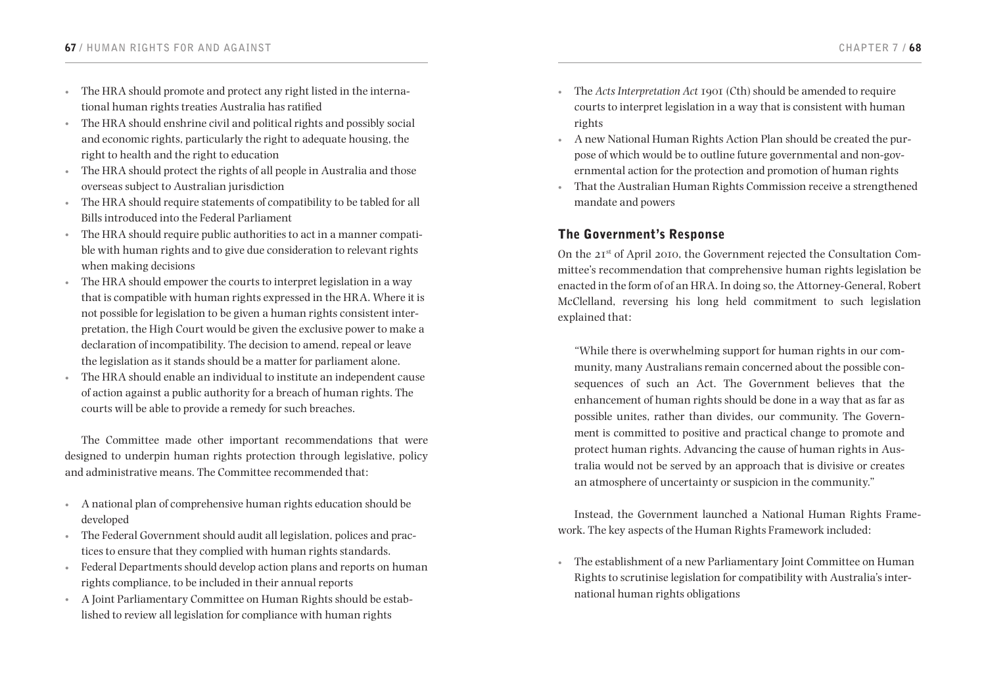- The HRA should promote and protect any right listed in the international human rights treaties Australia has ratified
- The HRA should enshrine civil and political rights and possibly social and economic rights, particularly the right to adequate housing, the right to health and the right to education
- The HRA should protect the rights of all people in Australia and those overseas subject to Australian jurisdiction
- The HRA should require statements of compatibility to be tabled for all Bills introduced into the Federal Parliament
- The HRA should require public authorities to act in a manner compatible with human rights and to give due consideration to relevant rights when making decisions
- The HRA should empower the courts to interpret legislation in a way that is compatible with human rights expressed in the HRA. Where it is not possible for legislation to be given a human rights consistent interpretation, the High Court would be given the exclusive power to make a declaration of incompatibility. The decision to amend, repeal or leave the legislation as it stands should be a matter for parliament alone.
- The HRA should enable an individual to institute an independent cause of action against a public authority for a breach of human rights. The courts will be able to provide a remedy for such breaches.

The Committee made other important recommendations that were designed to underpin human rights protection through legislative, policy and administrative means. The Committee recommended that:

- • A national plan of comprehensive human rights education should be developed
- The Federal Government should audit all legislation, polices and practices to ensure that they complied with human rights standards.
- Federal Departments should develop action plans and reports on human rights compliance, to be included in their annual reports
- A Joint Parliamentary Committee on Human Rights should be established to review all legislation for compliance with human rights
- • The *Acts Interpretation Act* 1901 (Cth) should be amended to require courts to interpret legislation in a way that is consistent with human rights
- A new National Human Rights Action Plan should be created the purpose of which would be to outline future governmental and non-governmental action for the protection and promotion of human rights
- That the Australian Human Rights Commission receive a strengthened mandate and powers

# The Government's Response

On the 21st of April 2010, the Government rejected the Consultation Committee's recommendation that comprehensive human rights legislation be enacted in the form of of an HRA. In doing so, the Attorney-General, Robert McClelland, reversing his long held commitment to such legislation explained that:

"While there is overwhelming support for human rights in our community, many Australians remain concerned about the possible consequences of such an Act. The Government believes that the enhancement of human rights should be done in a way that as far as possible unites, rather than divides, our community. The Government is committed to positive and practical change to promote and protect human rights. Advancing the cause of human rights in Australia would not be served by an approach that is divisive or creates an atmosphere of uncertainty or suspicion in the community."

Instead, the Government launched a National Human Rights Framework. The key aspects of the Human Rights Framework included:

The establishment of a new Parliamentary Joint Committee on Human Rights to scrutinise legislation for compatibility with Australia's international human rights obligations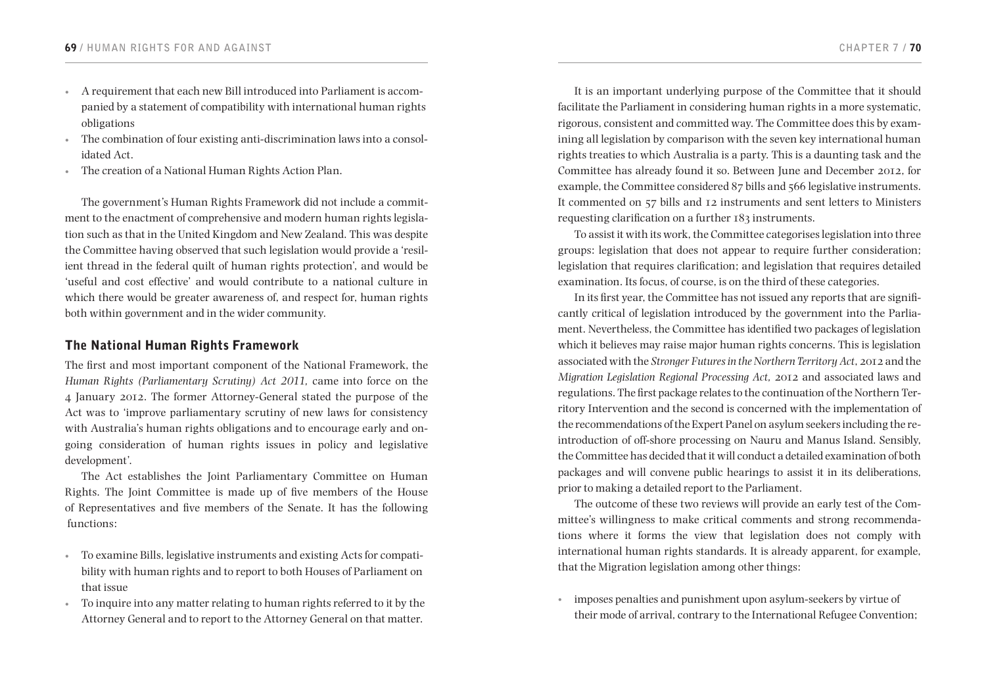- • A requirement that each new Bill introduced into Parliament is accompanied by a statement of compatibility with international human rights obligations
- The combination of four existing anti-discrimination laws into a consolidated Act.
- The creation of a National Human Rights Action Plan.

The government's Human Rights Framework did not include a commitment to the enactment of comprehensive and modern human rights legislation such as that in the United Kingdom and New Zealand. This was despite the Committee having observed that such legislation would provide a 'resilient thread in the federal quilt of human rights protection', and would be 'useful and cost effective' and would contribute to a national culture in which there would be greater awareness of, and respect for, human rights both within government and in the wider community.

# The National Human Rights Framework

The first and most important component of the National Framework, the *Human Rights (Parliamentary Scrutiny) Act 2011,* came into force on the 4 January 2012. The former Attorney-General stated the purpose of the Act was to 'improve parliamentary scrutiny of new laws for consistency with Australia's human rights obligations and to encourage early and ongoing consideration of human rights issues in policy and legislative development'.

The Act establishes the Joint Parliamentary Committee on Human Rights. The Joint Committee is made up of five members of the House of Representatives and five members of the Senate. It has the following functions:

- • To examine Bills, legislative instruments and existing Acts for compatibility with human rights and to report to both Houses of Parliament on that issue
- • To inquire into any matter relating to human rights referred to it by the Attorney General and to report to the Attorney General on that matter.

It is an important underlying purpose of the Committee that it should facilitate the Parliament in considering human rights in a more systematic, rigorous, consistent and committed way. The Committee does this by examining all legislation by comparison with the seven key international human rights treaties to which Australia is a party. This is a daunting task and the Committee has already found it so. Between June and December 2012, for example, the Committee considered 87 bills and 566 legislative instruments. It commented on 57 bills and 12 instruments and sent letters to Ministers requesting clarification on a further 183 instruments.

To assist it with its work, the Committee categorises legislation into three groups: legislation that does not appear to require further consideration; legislation that requires clarification; and legislation that requires detailed examination. Its focus, of course, is on the third of these categories.

In its first year, the Committee has not issued any reports that are significantly critical of legislation introduced by the government into the Parliament. Nevertheless, the Committee has identified two packages of legislation which it believes may raise major human rights concerns. This is legislation associated with the *Stronger Futures in the Northern Territory Act*, 2012 and the *Migration Legislation Regional Processing Act,* 2012 and associated laws and regulations. The first package relates to the continuation of the Northern Territory Intervention and the second is concerned with the implementation of the recommendations of the Expert Panel on asylum seekers including the reintroduction of off-shore processing on Nauru and Manus Island. Sensibly, the Committee has decided that it will conduct a detailed examination of both packages and will convene public hearings to assist it in its deliberations, prior to making a detailed report to the Parliament.

The outcome of these two reviews will provide an early test of the Committee's willingness to make critical comments and strong recommendations where it forms the view that legislation does not comply with international human rights standards. It is already apparent, for example, that the Migration legislation among other things:

imposes penalties and punishment upon asylum-seekers by virtue of their mode of arrival, contrary to the International Refugee Convention;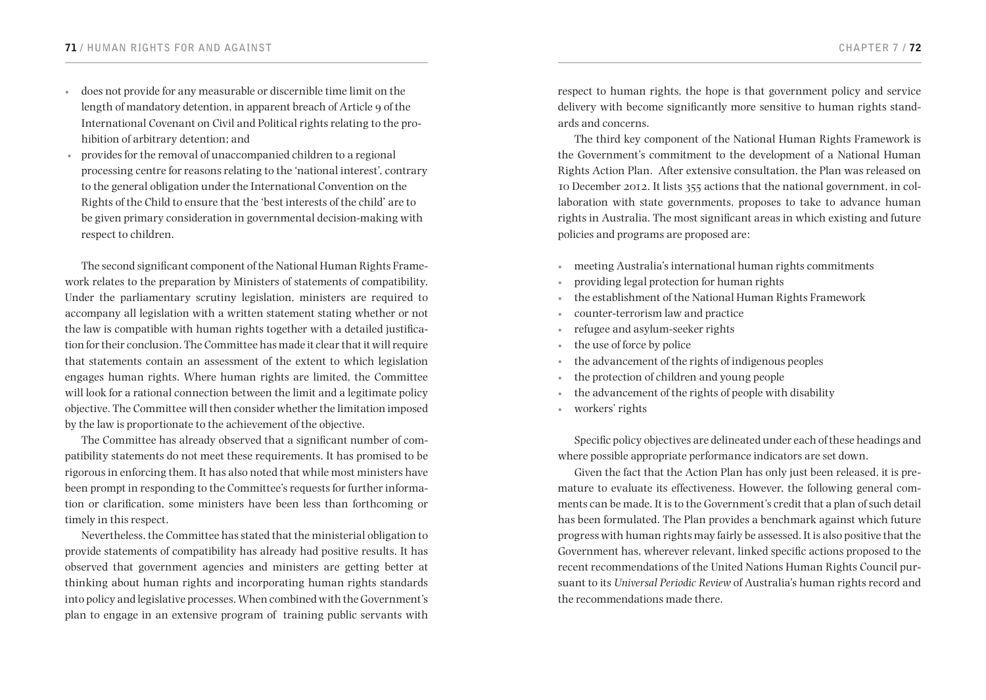- • does not provide for any measurable or discernible time limit on the length of mandatory detention, in apparent breach of Article 9 of the International Covenant on Civil and Political rights relating to the prohibition of arbitrary detention; and
- provides for the removal of unaccompanied children to a regional processing centre for reasons relating to the 'national interest', contrary to the general obligation under the International Convention on the Rights of the Child to ensure that the 'best interests of the child' are to be given primary consideration in governmental decision-making with respect to children.

The second significant component of the National Human Rights Framework relates to the preparation by Ministers of statements of compatibility. Under the parliamentary scrutiny legislation, ministers are required to accompany all legislation with a written statement stating whether or not the law is compatible with human rights together with a detailed justification for their conclusion. The Committee has made it clear that it will require that statements contain an assessment of the extent to which legislation engages human rights. Where human rights are limited, the Committee will look for a rational connection between the limit and a legitimate policy objective. The Committee will then consider whether the limitation imposed by the law is proportionate to the achievement of the objective.

The Committee has already observed that a significant number of compatibility statements do not meet these requirements. It has promised to be rigorous in enforcing them. It has also noted that while most ministers have been prompt in responding to the Committee's requests for further information or clarification, some ministers have been less than forthcoming or timely in this respect.

Nevertheless, the Committee has stated that the ministerial obligation to provide statements of compatibility has already had positive results. It has observed that government agencies and ministers are getting better at thinking about human rights and incorporating human rights standards into policy and legislative processes. When combined with the Government's plan to engage in an extensive program of training public servants with

respect to human rights, the hope is that government policy and service delivery with become significantly more sensitive to human rights standards and concerns.

The third key component of the National Human Rights Framework is the Government's commitment to the development of a National Human Rights Action Plan. After extensive consultation, the Plan was released on 10 December 2012. It lists 355 actions that the national government, in collaboration with state governments, proposes to take to advance human rights in Australia. The most significant areas in which existing and future policies and programs are proposed are:

- meeting Australia's international human rights commitments
- providing legal protection for human rights
- the establishment of the National Human Rights Framework
- • counter-terrorism law and practice
- • refugee and asylum-seeker rights
- the use of force by police
- the advancement of the rights of indigenous peoples
- the protection of children and young people
- the advancement of the rights of people with disability
- • workers' rights

Specific policy objectives are delineated under each of these headings and where possible appropriate performance indicators are set down.

Given the fact that the Action Plan has only just been released, it is premature to evaluate its effectiveness. However, the following general comments can be made. It is to the Government's credit that a plan of such detail has been formulated. The Plan provides a benchmark against which future progress with human rights may fairly be assessed. It is also positive that the Government has, wherever relevant, linked specific actions proposed to the recent recommendations of the United Nations Human Rights Council pursuant to its *Universal Periodic Review* of Australia's human rights record and the recommendations made there.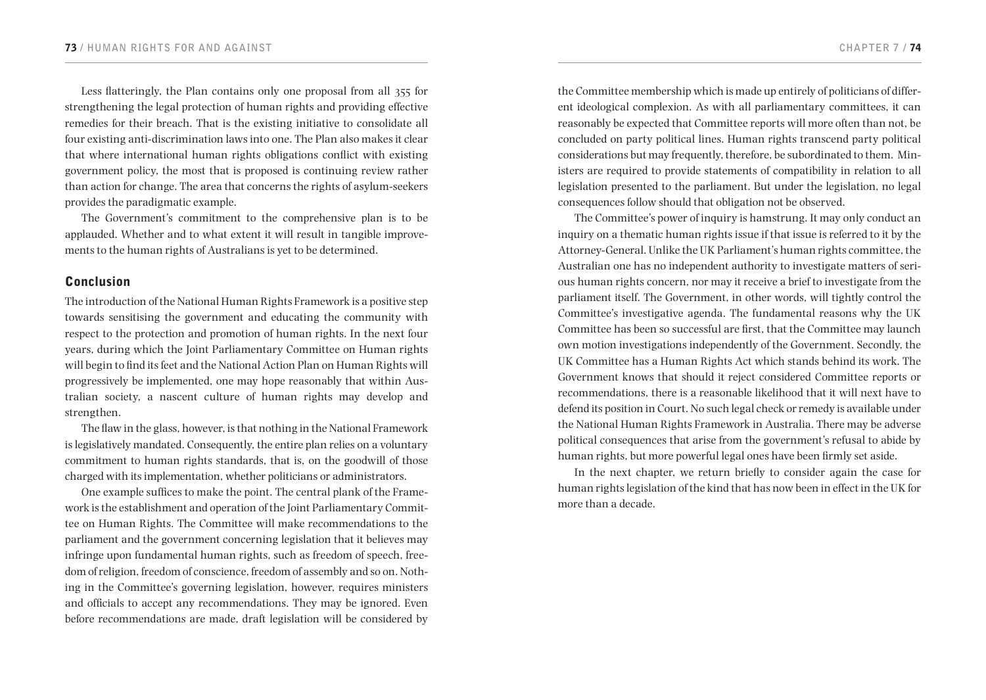Less flatteringly, the Plan contains only one proposal from all 355 for strengthening the legal protection of human rights and providing effective remedies for their breach. That is the existing initiative to consolidate all four existing anti-discrimination laws into one. The Plan also makes it clear that where international human rights obligations conflict with existing government policy, the most that is proposed is continuing review rather than action for change. The area that concerns the rights of asylum-seekers provides the paradigmatic example.

The Government's commitment to the comprehensive plan is to be applauded. Whether and to what extent it will result in tangible improvements to the human rights of Australians is yet to be determined.

### Conclusion

The introduction of the National Human Rights Framework is a positive step towards sensitising the government and educating the community with respect to the protection and promotion of human rights. In the next four years, during which the Joint Parliamentary Committee on Human rights will begin to find its feet and the National Action Plan on Human Rights will progressively be implemented, one may hope reasonably that within Australian society, a nascent culture of human rights may develop and strengthen.

The flaw in the glass, however, is that nothing in the National Framework is legislatively mandated. Consequently, the entire plan relies on a voluntary commitment to human rights standards, that is, on the goodwill of those charged with its implementation, whether politicians or administrators.

One example suffices to make the point. The central plank of the Framework is the establishment and operation of the Joint Parliamentary Committee on Human Rights. The Committee will make recommendations to the parliament and the government concerning legislation that it believes may infringe upon fundamental human rights, such as freedom of speech, freedom of religion, freedom of conscience, freedom of assembly and so on. Nothing in the Committee's governing legislation, however, requires ministers and officials to accept any recommendations. They may be ignored. Even before recommendations are made, draft legislation will be considered by

the Committee membership which is made up entirely of politicians of different ideological complexion. As with all parliamentary committees, it can reasonably be expected that Committee reports will more often than not, be concluded on party political lines. Human rights transcend party political considerations but may frequently, therefore, be subordinated to them. Ministers are required to provide statements of compatibility in relation to all legislation presented to the parliament. But under the legislation, no legal consequences follow should that obligation not be observed.

The Committee's power of inquiry is hamstrung. It may only conduct an inquiry on a thematic human rights issue if that issue is referred to it by the Attorney-General. Unlike the UK Parliament's human rights committee, the Australian one has no independent authority to investigate matters of serious human rights concern, nor may it receive a brief to investigate from the parliament itself. The Government, in other words, will tightly control the Committee's investigative agenda. The fundamental reasons why the UK Committee has been so successful are first, that the Committee may launch own motion investigations independently of the Government. Secondly, the UK Committee has a Human Rights Act which stands behind its work. The Government knows that should it reject considered Committee reports or recommendations, there is a reasonable likelihood that it will next have to defend its position in Court. No such legal check or remedy is available under the National Human Rights Framework in Australia. There may be adverse political consequences that arise from the government's refusal to abide by human rights, but more powerful legal ones have been firmly set aside.

In the next chapter, we return briefly to consider again the case for human rights legislation of the kind that has now been in effect in the UK for more than a decade.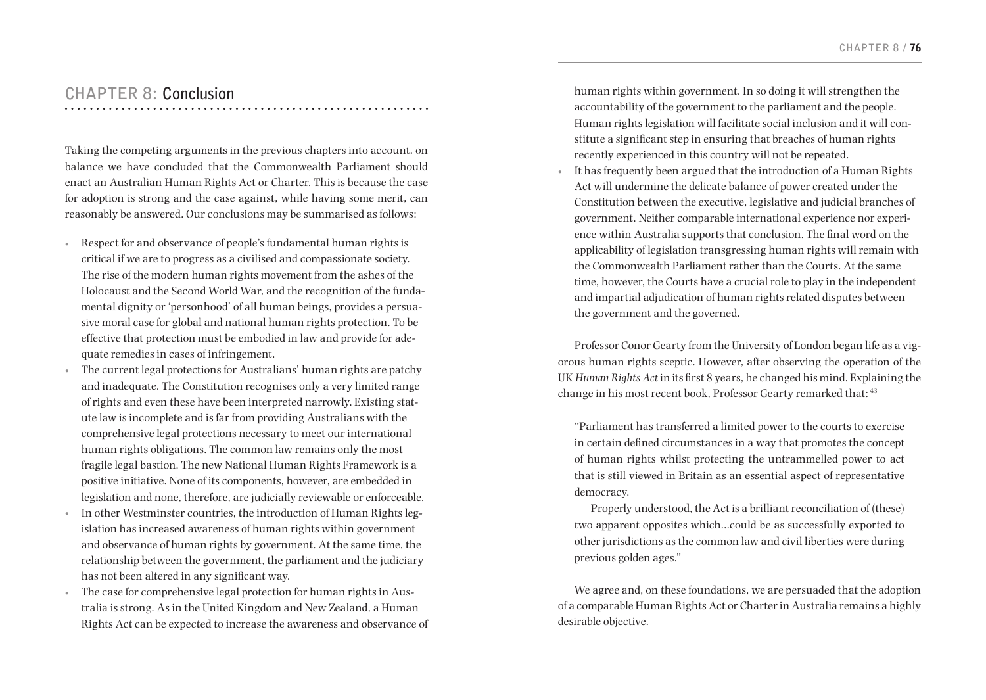# **CHAPTER 8: Conclusion**

Taking the competing arguments in the previous chapters into account, on balance we have concluded that the Commonwealth Parliament should enact an Australian Human Rights Act or Charter. This is because the case for adoption is strong and the case against, while having some merit, can reasonably be answered. Our conclusions may be summarised as follows:

- • Respect for and observance of people's fundamental human rights is critical if we are to progress as a civilised and compassionate society. The rise of the modern human rights movement from the ashes of the Holocaust and the Second World War, and the recognition of the fundamental dignity or 'personhood' of all human beings, provides a persuasive moral case for global and national human rights protection. To be effective that protection must be embodied in law and provide for adequate remedies in cases of infringement.
- • The current legal protections for Australians' human rights are patchy and inadequate. The Constitution recognises only a very limited range of rights and even these have been interpreted narrowly. Existing statute law is incomplete and is far from providing Australians with the comprehensive legal protections necessary to meet our international human rights obligations. The common law remains only the most fragile legal bastion. The new National Human Rights Framework is a positive initiative. None of its components, however, are embedded in legislation and none, therefore, are judicially reviewable or enforceable.
- In other Westminster countries, the introduction of Human Rights legislation has increased awareness of human rights within government and observance of human rights by government. At the same time, the relationship between the government, the parliament and the judiciary has not been altered in any significant way.
- The case for comprehensive legal protection for human rights in Australia is strong. As in the United Kingdom and New Zealand, a Human Rights Act can be expected to increase the awareness and observance of

human rights within government. In so doing it will strengthen the accountability of the government to the parliament and the people. Human rights legislation will facilitate social inclusion and it will constitute a significant step in ensuring that breaches of human rights recently experienced in this country will not be repeated.

• It has frequently been argued that the introduction of a Human Rights Act will undermine the delicate balance of power created under the Constitution between the executive, legislative and judicial branches of government. Neither comparable international experience nor experience within Australia supports that conclusion. The final word on the applicability of legislation transgressing human rights will remain with the Commonwealth Parliament rather than the Courts. At the same time, however, the Courts have a crucial role to play in the independent and impartial adjudication of human rights related disputes between the government and the governed.

Professor Conor Gearty from the University of London began life as a vigorous human rights sceptic. However, after observing the operation of the UK *Human Rights Act* in its first 8 years, he changed his mind. Explaining the change in his most recent book, Professor Gearty remarked that: 43

"Parliament has transferred a limited power to the courts to exercise in certain defined circumstances in a way that promotes the concept of human rights whilst protecting the untrammelled power to act that is still viewed in Britain as an essential aspect of representative democracy.

Properly understood, the Act is a brilliant reconciliation of (these) two apparent opposites which…could be as successfully exported to other jurisdictions as the common law and civil liberties were during previous golden ages."

We agree and, on these foundations, we are persuaded that the adoption of a comparable Human Rights Act or Charter in Australia remains a highly desirable objective.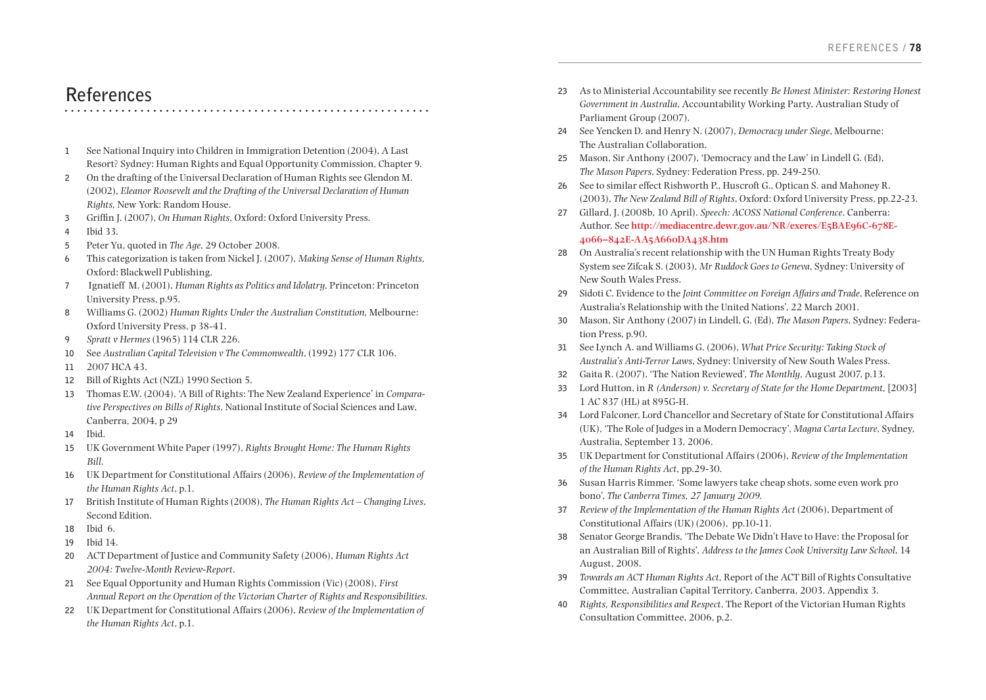# **References**

- **1** See National Inquiry into Children in Immigration Detention (2004), A Last Resort? Sydney: Human Rights and Equal Opportunity Commission, Chapter 9.
- **2** On the drafting of the Universal Declaration of Human Rights see Glendon M. (2002), *Eleanor Roosevelt and the Drafting of the Universal Declaration of Human Rights,* New York: Random House.
- **3** Griffin J. (2007), *On Human Rights*, Oxford: Oxford University Press.
- **4** Ibid 33.
- **5** Peter Yu, quoted in *The Age*, 29 October 2008.
- **6** This categorization is taken from Nickel J. (2007), *Making Sense of Human Rights,*  Oxford: Blackwell Publishing.
- **7** Ignatieff M. (2001), *Human Rights as Politics and Idolatry*, Princeton: Princeton University Press, p.95.
- **8** Williams G. (2002) *Human Rights Under the Australian Constitution,* Melbourne: Oxford University Press, p 38-41.
- **9** *Spratt v Hermes* (1965) 114 CLR 226.
- **10** See *Australian Capital Television v The Commonwealth*, (1992) 177 CLR 106.
- **11** 2007 HCA 43.
- **12** Bill of Rights Act (NZL) 1990 Section 5.
- **13** Thomas E.W. (2004), 'A Bill of Rights: The New Zealand Experience' in *Comparative Perspectives on Bills of Rights*, National Institute of Social Sciences and Law, Canberra, 2004, p 29
- **14** Ibid.
- **15** UK Government White Paper (1997), *Rights Brought Home: The Human Rights Bill*.
- **16** UK Department for Constitutional Affairs (2006), *Review of the Implementation of the Human Rights Act*, p.1.
- **17** British Institute of Human Rights (2008), *The Human Rights Act Changing Lives*, Second Edition.
- **18** Ibid 6.
- **19** Ibid 14.
- **20** ACT Department of Justice and Community Safety (2006), *Human Rights Act 2004: Twelve-Month Review-Report*.
- **21** See Equal Opportunity and Human Rights Commission (Vic) (2008), *First Annual Report on the Operation of the Victorian Charter of Rights and Responsibilities.*
- **22** UK Department for Constitutional Affairs (2006), *Review of the Implementation of the Human Rights Act*, p.1.
- **23** As to Ministerial Accountability see recently *Be Honest Minister: Restoring Honest Government in Australia*, Accountability Working Party, Australian Study of Parliament Group (2007).
- **24** See Yencken D. and Henry N. (2007), *Democracy under Siege*, Melbourne: The Australian Collaboration.
- **25** Mason, Sir Anthony (2007), 'Democracy and the Law' in Lindell G. (Ed), *The Mason Papers*, Sydney: Federation Press, pp. 249-250.
- **26** See to similar effect Rishworth P., Huscroft G., Optican S. and Mahoney R. (2003), *The New Zealand Bill of Rights*, Oxford: Oxford University Press, pp.22-23.
- **27** Gillard, J. (2008b, 10 April). *Speech: ACOSS National Conference*. Canberra: Author. See **[http://mediacentre.dewr.gov.au/NR/exeres/E5BAE96C-678E-](http://mediacentre.dewr.gov.au/NR/exeres/E5BAE96C-678E-4066-842E-AA5A660DA438.htm)[4066–842E-AA5A660DA438.htm](http://mediacentre.dewr.gov.au/NR/exeres/E5BAE96C-678E-4066-842E-AA5A660DA438.htm)**
- **28** On Australia's recent relationship with the UN Human Rights Treaty Body System see Zifcak S. (2003), *Mr Ruddock Goes to Geneva*, Sydney: University of New South Wales Press.
- **29** Sidoti C. Evidence to the *Joint Committee on Foreign Affairs and Trade*, Reference on Australia's Relationship with the United Nations', 22 March 2001.
- **30** Mason, Sir Anthony (2007) in Lindell, G. (Ed), *The Mason Papers*, Sydney: Federation Press, p.90.
- **31** See Lynch A. and Williams G. (2006), *What Price Security: Taking Stock of Australia's Anti-Terror Laws*, Sydney: University of New South Wales Press.
- **32** Gaita R. (2007), 'The Nation Reviewed', *The Monthly*, August 2007, p.13.
- **33** Lord Hutton, in *R (Anderson) v. Secretary of State for the Home Department,* [2003] 1 AC 837 (HL) at 895G-H.
- **34** Lord Falconer, Lord Chancellor and Secretary of State for Constitutional Affairs (UK), 'The Role of Judges in a Modern Democracy', *Magna Carta Lecture*, Sydney, Australia, September 13, 2006.
- **35** UK Department for Constitutional Affairs (2006), *Review of the Implementation of the Human Rights Act,* pp.29-30.
- **36** Susan Harris Rimmer, 'Some lawyers take cheap shots, some even work pro bono', *The Canberra Times, 27 January 2009.*
- **37** *Review of the Implementation of the Human Rights Act* (2006), Department of Constitutional Affairs (UK) (2006), pp.10-11.
- **38** Senator George Brandis, 'The Debate We Didn't Have to Have: the Proposal for an Australian Bill of Rights', *Address to the James Cook University Law School*, 14 August, 2008.
- **39** *Towards an ACT Human Rights Act,* Report of the ACT Bill of Rights Consultative Committee, Australian Capital Territory, Canberra, 2003, Appendix 3.
- **40** *Rights, Responsibilities and Respect*, The Report of the Victorian Human Rights Consultation Committee, 2006, p.2.